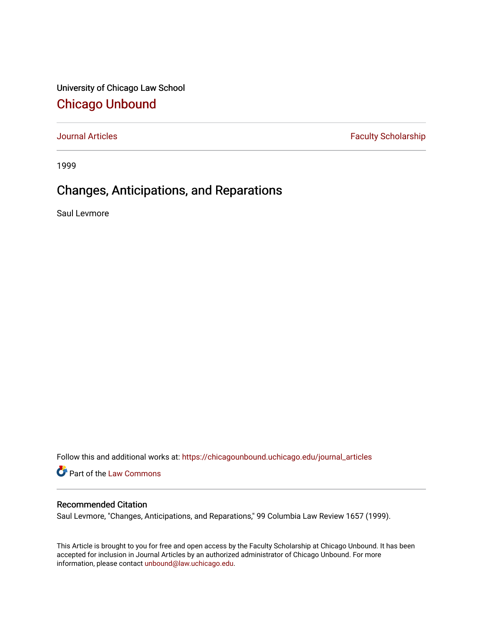University of Chicago Law School [Chicago Unbound](https://chicagounbound.uchicago.edu/)

[Journal Articles](https://chicagounbound.uchicago.edu/journal_articles) **Faculty Scholarship Faculty Scholarship** 

1999

# Changes, Anticipations, and Reparations

Saul Levmore

Follow this and additional works at: [https://chicagounbound.uchicago.edu/journal\\_articles](https://chicagounbound.uchicago.edu/journal_articles?utm_source=chicagounbound.uchicago.edu%2Fjournal_articles%2F1638&utm_medium=PDF&utm_campaign=PDFCoverPages) 

Part of the [Law Commons](http://network.bepress.com/hgg/discipline/578?utm_source=chicagounbound.uchicago.edu%2Fjournal_articles%2F1638&utm_medium=PDF&utm_campaign=PDFCoverPages)

# Recommended Citation

Saul Levmore, "Changes, Anticipations, and Reparations," 99 Columbia Law Review 1657 (1999).

This Article is brought to you for free and open access by the Faculty Scholarship at Chicago Unbound. It has been accepted for inclusion in Journal Articles by an authorized administrator of Chicago Unbound. For more information, please contact [unbound@law.uchicago.edu](mailto:unbound@law.uchicago.edu).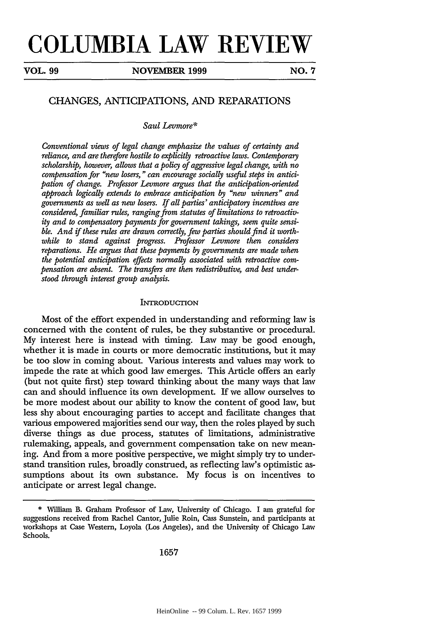# **COLUMBIA LAW REVIEW**

#### **VOL. 99 NOVEMBER 1999 NO. 7**

## CHANGES, ANTICIPATIONS, **AND** REPARATIONS

#### *Saul Levmore\**

*Conventional views of legal change emphasize the values of certainty and reliance, and are therefore hostile to explicitly retroactive laws. Contemporary scholarship, however, allows that a policy of aggressive legal change, with no compensation for "new losers," can encourage socially useful steps in anticipation of change. Professor Levmore argues that the anticipation-oriented approach logically extends to embrace anticipation by "new winners" and governments as well as new losers. If all parties' anticipatory incentives are considered, familiar rules, ranging from statutes of limitations to retroactivity and to compensatory payments for government takings, seem quite sensible. And if these rules are drawn correctly, few parties should find it worthwhile to stand against progress. Professor Levmore then considers reparations. He argues that these payments by governments are made when the potential anticipation effects normally associated with retroactive compensation are absent. The transfers are then redistributive, and best understood through interest group analysis.*

#### **INTRODUCTION**

Most of the effort expended in understanding and reforming law is concerned with the content of rules, be they substantive or procedural. My interest here is instead with timing. Law may be good enough, whether it is made in courts or more democratic institutions, but it may be too slow in coming about. Various interests and values may work to impede the rate at which good law emerges. This Article offers an early (but not quite first) step toward thinking about the many ways that law can and should influence its own development. If we allow ourselves to be more modest about our ability to know the content of good law, but less shy about encouraging parties to accept and facilitate changes that various empowered majorities send our way, then the roles played by such diverse things as due process, statutes of limitations, administrative rulemaking, appeals, and government compensation take on new meaning. And from a more positive perspective, we might simply try to understand transition rules, broadly construed, as reflecting law's optimistic assumptions about its own substance. My focus is on incentives to anticipate or arrest legal change.

<sup>\*</sup> William B. Graham Professor of Law, University of Chicago. I am grateful for suggestions received from Rachel Cantor, Julie Roin, Cass Sunstein, and participants at workshops at Case Western, Loyola (Los Angeles), and the University of Chicago Law Schools.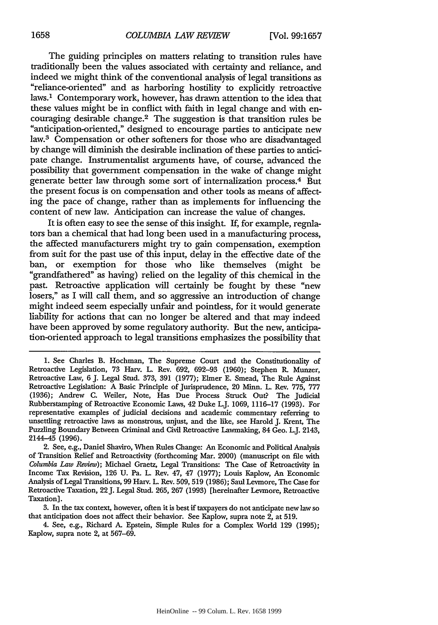The guiding principles on matters relating to transition rules have traditionally been the values associated with certainty and reliance, and indeed we might think of the conventional analysis of legal transitions as "reliance-oriented" and as harboring hostility to explicitly retroactive laws.' Contemporary work, however, has drawn attention to the idea that these values might be in conflict with faith in legal change and with encouraging desirable change.2 The suggestion is that transition rules be "anticipation-oriented," designed to encourage parties to anticipate new law.3 Compensation or other softeners for those who are disadvantaged by change will diminish the desirable inclination of these parties to anticipate change. Instrumentalist arguments have, of course, advanced the possibility that government compensation in the wake of change might generate better law through some sort of internalization process.4 But the present focus is on compensation and other tools as means of affecting the pace of change, rather than as implements for influencing the content of new law. Anticipation can increase the value of changes.

It is often easy to see the sense of this insight. If, for example, regulators ban a chemical that had long been used in a manufacturing process, the affected manufacturers might try to gain compensation, exemption from suit for the past use of this input, delay in the effective date of the ban, or exemption for those who like themselves (might be "grandfathered" as having) relied on the legality of this chemical in the past. Retroactive application will certainly be fought by these "new losers," as I will call them, and so aggressive an introduction of change might indeed seem especially unfair and pointless, for it would generate liability for actions that can no longer be altered and that may indeed have been approved by some regulatory authority. But the new, anticipation-oriented approach to legal transitions emphasizes the possibility that

4. See, e.g., Richard A. Epstein, Simple Rules for a Complex World 129 (1995); Kaplow, supra note 2, at 567-69.

**<sup>1.</sup>** See Charles B. Hochman, The Supreme Court and the Constitutionality of Retroactive Legislation, 73 Harv. L. Rev. 692, 692-93 (1960); Stephen R. Munzer, Retroactive Law, 6 J. Legal Stud. 373, **391** (1977); Elmer **E.** Smead, The Rule Against Retroactive Legislation: A Basic Principle of Jurisprudence, 20 Minn. L. Rev. 775, 777 (1936); Andrew C. Weiler, Note, Has Due Process Struck Out? The Judicial Rubberstamping of Retroactive Economic Laws, 42 Duke L.J. 1069, 1116-17 (1993). For representative examples of judicial decisions and academic commentary referring to unsettling retroactive laws as monstrous, unjust, and the like, see Harold J. Krent, The Puzzling Boundary Between Criminal and Civil Retroactive Lawmaking, 84 Geo. L.J. 2143, 2144-45 (1996).

<sup>2.</sup> See, e.g., Daniel Shaviro, When Rules Change: An Economic and Political Analysis of Transition Relief and Retroactivity (forthcoming Mar. 2000) (manuscript on file with *Columbia Law Review);* Michael Graetz, Legal Transitions: The Case of Retroactivity in Income Tax Revision, 126 U. Pa. L. Rev. 47, 47 (1977); Louis Kaplow, An Economic Analysis of Legal Transitions, 99 Harv. L. Rev. 509, 519 (1986); Saul Levmore, The Case for Retroactive Taxation, 22J. Legal Stud. 265, 267 (1993) [hereinafter Levmore, Retroactive Taxation].

<sup>3.</sup> In the tax context, however, often it is best if taxpayers do not anticipate new law so that anticipation does not affect their behavior. See Kaplow, supra note 2, at 519.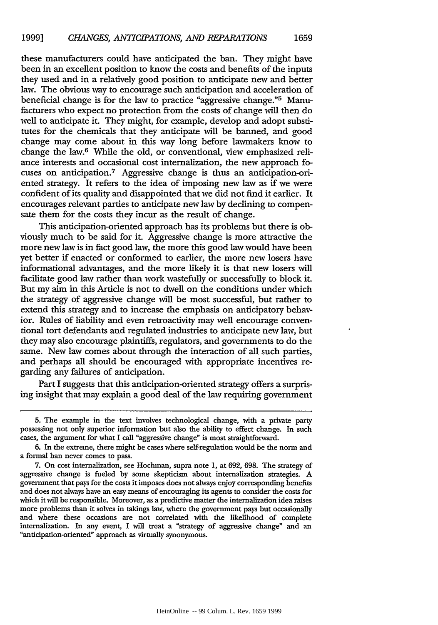these manufacturers could have anticipated the ban. They might have been in an excellent position to know the costs and benefits of the inputs they used and in a relatively good position to anticipate new and better law. The obvious way to encourage such anticipation and acceleration of beneficial change is for the law to practice "aggressive change."5 Manufacturers who expect no protection from the costs of change will then do well to anticipate it. They might, for example, develop and adopt substitutes for the chemicals that they anticipate will be banned, and good change may come about in this way long before lawmakers know to change the law.8 While the old, or conventional, view emphasized reliance interests and occasional cost internalization, the new approach focuses on anticipation.7 Aggressive change is thus an anticipation-oriented strategy. It refers to the idea of imposing new law as if we were confident of its quality and disappointed that we did not find it earlier. It encourages relevant parties to anticipate new law by declining to compensate them for the costs they incur as the result of change.

This anticipation-oriented approach has its problems but there is obviously much to be said for it. Aggressive change is more attractive the more new law is in fact good law, the more this good law would have been yet better if enacted or conformed to earlier, the more new losers have informational advantages, and the more likely it is that new losers will facilitate good law rather than work wastefully or successfully to block it. But my aim in this Article is not to dwell on the conditions under which the strategy of aggressive change will be most successful, but rather to extend this strategy and to increase the emphasis on anticipatory behavior. Rules of liability and even retroactivity may well encourage conventional tort defendants and regulated industries to anticipate new law, but they may also encourage plaintiffs, regulators, and governments to do the same. New law comes about through the interaction of all such parties, and perhaps all should be encouraged with appropriate incentives regarding any failures of anticipation.

Part I suggests that this anticipation-oriented strategy offers a surprising insight that may explain a good deal of the law requiring government

<sup>5.</sup> The example in the text involves technological change, with a private party possessing not only superior information but also the ability to effect change. In such cases, the argument for what I call "aggressive change" is most straightforward.

<sup>6.</sup> In the extreme, there might be cases where self-regulation would be the norm and a formal ban never comes to pass.

<sup>7.</sup> On cost internalization, see Hochman, supra note 1, at 692, 698. The strategy of aggressive change is fueled by some skepticism about internalization strategies. A government that pays for the costs it imposes does not always enjoy corresponding benefits and does not always have an easy means of encouraging its agents to consider the costs for which it will be responsible. Moreover, as a predictive matter the internalization idea raises more problems than it solves in takings law, where the government pays but occasionally and where these occasions are not correlated with the likelihood of complete internalization. In any event, I will treat a "strategy of aggressive change" and an 'anticipation-oriented" approach as virtually synonymous.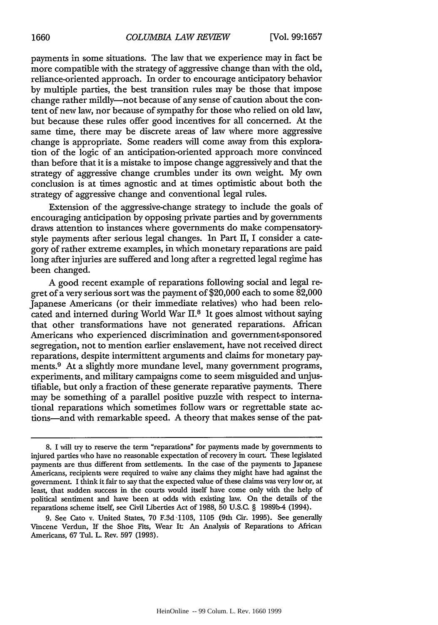payments in some situations. The law that we experience may in fact be more compatible with the strategy of aggressive change than with the old, reliance-oriented approach. In order to encourage anticipatory behavior by multiple parties, the best transition rules may be those that impose change rather mildly-not because of any sense of caution about the content of new law, nor because of sympathy for those who relied on old law, but because these rules offer good incentives for all concerned. At the same time, there may be discrete areas of law where more aggressive change is appropriate. Some readers will come away from this exploration of the logic of an anticipation-oriented approach more convinced than before that it is a mistake to impose change aggressively and that the strategy of aggressive change crumbles under its own weight. My own conclusion is at times agnostic and at times optimistic about both the strategy of aggressive change and conventional legal rules.

Extension of the aggressive-change strategy to include the goals of encouraging anticipation by opposing private parties and by governments draws attention to instances where governments do make compensatorystyle payments after serious legal changes. In Part II, I consider a category of rather extreme examples, in which monetary reparations are paid long after injuries are suffered and long after a regretted legal regime has been changed.

A good recent example of reparations following social and legal regret of a very serious sort was the payment of \$20,000 each to some 82,000 Japanese Americans (or their immediate relatives) who had been relocated and interned during World War II.<sup>8</sup> It goes almost without saying that other transformations have not generated reparations. African Americans who experienced discrimination and government-sponsored segregation, not to mention earlier enslavement, have not received direct reparations, despite intermittent arguments and claims for monetary payments.<sup>9</sup> At a slightly more mundane level, many government programs, experiments, and military campaigns come to seem misguided and unjustifiable, but only a fraction of these generate reparative payments. There may be something of a parallel positive puzzle with respect to international reparations which sometimes follow wars or regrettable state actions-and with remarkable speed. A theory that makes sense of the pat-

<sup>8.</sup> I will try to reserve the term "reparations" for payments made by governments to injured parties who have no reasonable expectation of recovery in court. These legislated payments are thus different from settlements. In the case of the payments to Japanese Americans, recipients were required to waive any claims they might have had against the government. I think it fair to say that the expected value of these claims was very low or, at least, that sudden success in the courts would itself have come only with the help of political sentiment and have been at odds with existing law. On the details of the reparations scheme itself, see Civil Liberties Act of 1988, 50 U.S.C. § 1989b-4 (1994).

<sup>9.</sup> See Cato v. United States, 70 **F.3d** 1103, 1105 (9th Cir. 1995). See generally Vincene Verdun, If the Shoe Fits, Wear It: An Analysis of Reparations to African Americans, 67 Tul. L. Rev. 597 (1993).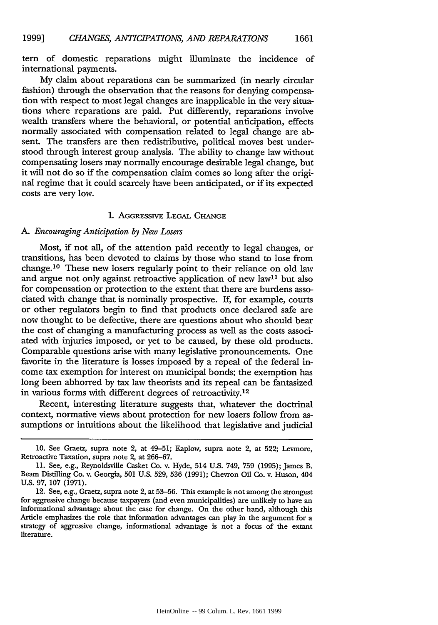tern of domestic reparations might illuminate the incidence of international payments.

My claim about reparations can be summarized (in nearly circular fashion) through the observation that the reasons for denying compensation with respect to most legal changes are inapplicable in the very situations where reparations are paid. Put differently, reparations involve wealth transfers where the behavioral, or potential anticipation, effects normally associated with compensation related to legal change are absent. The transfers are then redistributive, political moves best understood through interest group analysis. The ability to change law without compensating losers may normally encourage desirable legal change, but it will not do so if the compensation claim comes so long after the original regime that it could scarcely have been anticipated, or if its expected costs are very low.

### I. AGGRESSIVE **LEGAL CHANGE**

#### *A. Encouraging Anticipation by New Losers*

Most, if not all, of the attention paid recently to legal changes, or transitions, has been devoted to claims by those who stand to lose from change.10 These new losers regularly point to their reliance on old law and argue not only against retroactive application of new law<sup>11</sup> but also for compensation or protection to the extent that there are burdens associated with change that is nominally prospective. **If,** for example, courts or other regulators begin to find that products once declared safe are now thought to be defective, there are questions about who should bear the cost of changing a manufacturing process as well as the costs associated with injuries imposed, or yet to be caused, by these old products. Comparable questions arise with many legislative pronouncements. One favorite in the literature is losses imposed by a repeal of the federal income tax exemption for interest on municipal bonds; the exemption has long been abhorred by tax law theorists and its repeal can be fantasized in various forms with different degrees of retroactivity.<sup>12</sup>

Recent, interesting literature suggests that, whatever the doctrinal context, normative views about protection for new losers follow from assumptions or intuitions about the likelihood that legislative and judicial

<sup>10.</sup> See Graetz, supra note 2, at 49-51; Kaplow, supra note 2, at 522; Levmore, Retroactive Taxation, supra note 2, at 266-67.

<sup>11.</sup> See, e.g., Reynoldsville Casket Co. v. Hyde, 514 U.S. 749, 759 (1995); James B. Beam Distilling Co. v. Georgia, 501 U.S. 529, **536** (1991); Chevron Oil Co. v. Huson, 404 U.S. 97, 107 (1971).

<sup>12.</sup> See, e.g., Graetz, supra note 2, at 53-56. This example is not among the strongest for aggressive change because taxpayers (and even municipalities) are unlikely to have an informational advantage about the case for change. On the other hand, although this Article emphasizes the role that information advantages can play in the argument for a strategy of aggressive change, informational advantage is not a focus of the extant literature.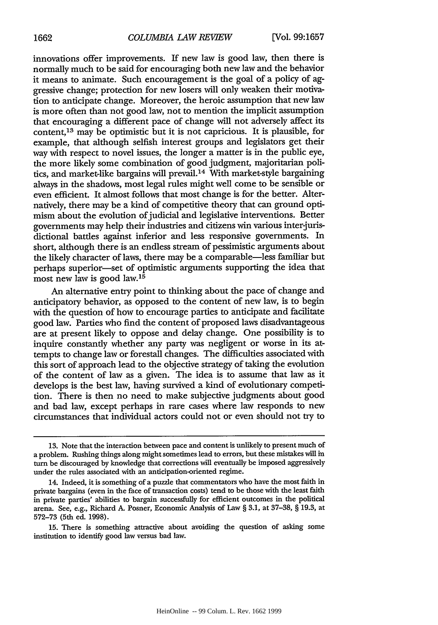innovations offer improvements. If new law is good law, then there is normally much to be said for encouraging both new law and the behavior it means to animate. Such encouragement is the goal of a policy of aggressive change; protection for new losers will only weaken their motivation to anticipate change. Moreover, the heroic assumption that new law is more often than not good law, not to mention the implicit assumption that encouraging a different pace of change will not adversely affect its content,13 may be optimistic but it is not capricious. It is plausible, for example, that although selfish interest groups and legislators get their way with respect to novel issues, the longer a matter is in the public eye, the more likely some combination of good judgment, majoritarian politics, and market-like bargains will prevail. 14 With market-style bargaining always in the shadows, most legal rules might well come to be sensible or even efficient. It almost follows that most change is for the better. Alternatively, there may be a kind of competitive theory that can ground optimism about the evolution of judicial and legislative interventions. Better governments may help their industries and citizens win various interjurisdictional battles against inferior and less responsive governments. In short, although there is an endless stream of pessimistic arguments about the likely character of laws, there may be a comparable-less familiar but perhaps superior-set of optimistic arguments supporting the idea that most new law is good law.<sup>15</sup>

An alternative entry point to thinking about the pace of change and anticipatory behavior, as opposed to the content of new law, is to begin with the question of how to encourage parties to anticipate and facilitate good law. Parties who find the content of proposed laws disadvantageous are at present likely to oppose and delay change. One possibility is to inquire constantly whether any party was negligent or worse in its attempts to change law or forestall changes. The difficulties associated with this sort of approach lead to the objective strategy of taking the evolution of the content of law as a given. The idea is to assume that law as it develops is the best law, having survived a kind of evolutionary competition. There is then no need to make subjective judgments about good and bad law, except perhaps in rare cases where law responds to new circumstances that individual actors could not or even should not try to

**<sup>13.</sup>** Note that the interaction between pace and content is unlikely to present much of a problem. Rushing things along might sometimes lead to errors, but these mistakes will in turn be discouraged by knowledge that corrections will eventually be imposed aggressively under the rules associated with an anticipation-oriented regime.

<sup>14.</sup> Indeed, it is something of a puzzle that commentators who have the most faith in private bargains (even in the face of transaction costs) tend to be those with the least faith in private parties' abilities to bargain successfully for efficient outcomes in the political arena. See, e.g., Richard A. Posner, Economic Analysis of Law § 3.1, at 37-38, § 19.3, at 572-73 (5th ed. 1998).

<sup>15.</sup> There is something attractive about avoiding the question of asking some institution to identify good law versus bad law.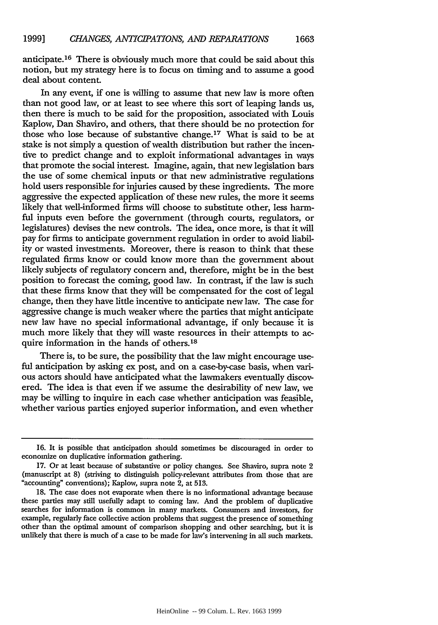anticipate.<sup>16</sup> There is obviously much more that could be said about this notion, but my strategy here is to focus on timing and to assume a good deal about content

In any event, if one is willing to assume that new law is more often than not good law, or at least to see where this sort of leaping lands us, then there is much to be said for the proposition, associated with Louis Kaplow, Dan Shaviro, and others, that there should be no protection for those who lose because of substantive change.<sup>17</sup> What is said to be at stake is not simply a question of wealth distribution but rather the incentive to predict change and to exploit informational advantages in ways that promote the social interest. Imagine, again, that new legislation bars the use of some chemical inputs or that new administrative regulations hold users responsible for injuries caused by these ingredients. The more aggressive the expected application of these new rules, the more it seems likely that well-informed firms will choose to substitute other, less harmful inputs even before the government (through courts, regulators, or legislatures) devises the new controls. The idea, once more, is that it will pay for firms to anticipate government regulation in order to avoid liability or wasted investments. Moreover, there is reason to think that these regulated firms know or could know more than the government about likely subjects of regulatory concern and, therefore, might be in the best position to forecast the coming, good law. In contrast, if the law is such that these firms know that they will be compensated for the cost of legal change, then they have little incentive to anticipate new law. The case for aggressive change is much weaker where the parties that might anticipate new law have no special informational advantage, if only because it is much more likely that they will waste resources in their attempts to acquire information in the hands of others.<sup>18</sup>

There is, to be sure, the possibility that the law might encourage useful anticipation by asking ex post, and on a case-by-case basis, when various actors should have anticipated what the lawmakers eventually discovered. The idea is that even if we assume the desirability of new law, we may be willing to inquire in each case whether anticipation was feasible, whether various parties enjoyed superior information, and even whether

**<sup>16.</sup>** It is possible that anticipation should sometimes be discouraged in order to economize on duplicative information gathering.

**<sup>17.</sup>** Or at least because of substantive or policy changes. See Shaviro, supra note 2 (manuscript at **8)** (striving to distinguish policy-relevant attributes from those that are "accounting" conventions); Kaplow, supra note 2, at 513.

**<sup>18.</sup>** The case does not evaporate when there is no informational advantage because these parties may still usefully adapt to coming law. And the problem of duplicative searches for information is common in many markets. Consumers and investors, for example, regularly face collective action problems that suggest the presence of something other than the optimal amount of comparison shopping and other searching, but it is unlikely that there is much of a case to be made for law's intervening in all such markets.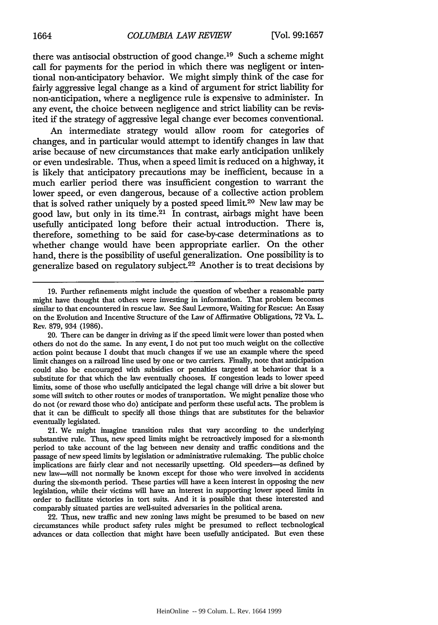there was antisocial obstruction of good change. 19 Such a scheme might call for payments for the period in which there was negligent or intentional non-anticipatory behavior. We might simply think of the case for fairly aggressive legal change as a kind of argument for strict liability for non-anticipation, where a negligence rule is expensive to administer. In any event, the choice between negligence and strict liability can be revisited if the strategy of aggressive legal change ever becomes conventional.

An intermediate strategy would allow room for categories of changes, and in particular would attempt to identify changes in law that arise because of new circumstances that make early anticipation unlikely or even undesirable. Thus, when a speed limit is reduced on a highway, it is likely that anticipatory precautions may be inefficient, because in a much earlier period there was insufficient congestion to warrant the lower speed, or even dangerous, because of a collective action problem that is solved rather uniquely by a posted speed limit.20 New law may be good law, but only in its time.21 In contrast, airbags might have been usefully anticipated long before their actual introduction. There is, therefore, something to be said for case-by-case determinations as to whether change would have been appropriate earlier. On the other hand, there is the possibility of useful generalization. One possibility is to generalize based on regulatory subject.22 Another is to treat decisions by

21. We might imagine transition rules that vary according to the underlying substantive rule. Thus, new speed limits might be retroactively imposed for a six-month period to take account of the lag between new density and traffic conditions and the passage of new speed limits by legislation or administrative rulemaking. The public choice implications are fairly clear and not necessarily upsetting. Old speeders-as defined by new law-will not normally be known except for those who were involved in accidents during the six-month period. These parties will have a keen interest in opposing the new legislation, while their victims will have an interest in supporting lower speed limits in order to facilitate victories in tort suits. And it is possible that these interested and comparably situated parties are well-suited adversaries in the political arena.

22. Thus, new traffic and new zoning laws might be presumed to be based on new circumstances while product safety rules might be presumed to reflect technological advances or data collection that might have been usefully anticipated. But even these

<sup>19.</sup> Further refinements might include the question of whether a reasonable party might have thought that others were investing in information. That problem becomes similar to that encountered in rescue law. See Saul Levmore, Waiting for Rescue: An Essay on the Evolution and Incentive Structure of the Law of Affirmative Obligations, 72 Va. L. Rev. 879, 934 (1986).

<sup>20.</sup> There can be danger in driving as if the speed limit were lower than posted when others do not do the same. In any event, I do not put too much weight on the collective action point because I doubt that much changes if we use an example where the speed limit changes on a railroad line used by one or two carriers. Finally, note that anticipation could also be encouraged with subsidies or penalties targeted at behavior that is a substitute for that which the law eventually chooses. If congestion leads to lower speed limits, some of those who usefully anticipated the legal change will drive a bit slower but some will switch to other routes or modes of transportation. We might penalize those who do not (or reward those who do) anticipate and perform these useful acts. The problem is that it can be difficult to specify all those things that are substitutes for the behavior eventually legislated.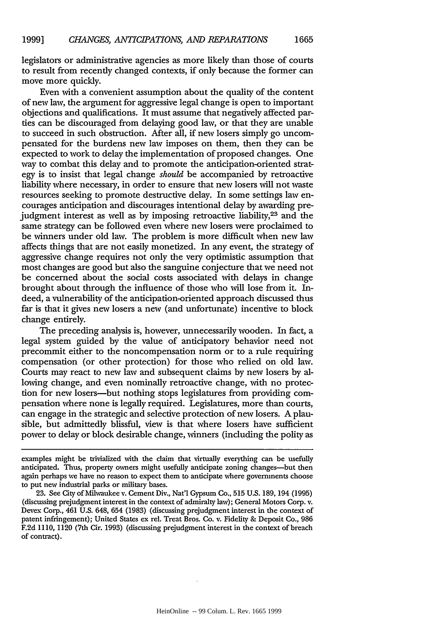legislators or administrative agencies as more likely than those of courts to result from recently changed contexts, if only because the former can move more quickly.

Even with a convenient assumption about the quality of the content of new law, the argument for aggressive legal change is open to important objections and qualifications. It must assume that negatively affected parties can be discouraged from delaying good law, or that they are unable to succeed in such obstruction. After all, if new losers simply go uncompensated for the burdens new law imposes on them, then they can be expected to work to delay the implementation of proposed changes. One way to combat this delay and to promote the anticipation-oriented strategy is to insist that legal change *should* be accompanied by retroactive liability where necessary, in order to ensure that new losers will not waste resources seeking to promote destructive delay. In some settings law encourages anticipation and discourages intentional delay by awarding prejudgment interest as well as by imposing retroactive liability,<sup>23</sup> and the same strategy can be followed even where new losers were proclaimed to be winners under old law. The problem is more difficult when new law affects things that are not easily monetized. In any event, the strategy of aggressive change requires not only the very optimistic assumption that most changes are good but also the sanguine conjecture that we need not be concerned about the social costs associated with delays in change brought about through the influence of those who will lose from it. Indeed, a vulnerability of the anticipation-oriented approach discussed thus far is that it gives new losers a new (and unfortunate) incentive to block change entirely.

The preceding analysis is, however, unnecessarily wooden. In fact, a legal system guided by the value of anticipatory behavior need not precommit either to the noncompensation norm or to a rule requiring compensation (or other protection) for those who relied on old law. Courts may react to new law and subsequent claims by new losers by allowing change, and even nominally retroactive change, with no protection for new losers-but nothing stops legislatures from providing compensation where none is legally required. Legislatures, more than courts, can engage in the strategic and selective protection of new losers. A plausible, but admittedly blissful, view is that where losers have sufficient power to delay or block desirable change, winners (including the polity as

examples might be trivialized with the claim that virtually everything can be usefully anticipated. Thus, property owners might usefully anticipate zoning changes-but then again perhaps we have no reason to expect them to anticipate where governments choose to put new industrial parks or military bases.

*<sup>23.</sup>* See City of Milwaukee v. Cement Div., Nat'l Gypsum Co., **515** U.S. 189, 194 (1995) (discussing prejudgment interest in the context of admiralty law); General Motors Corp. v. Devex Corp., 461 U.S. 648, 654 (1983) (discussing prejudgment interest in the context of patent infringement); United States ex rel. Treat Bros. Co. v. Fidelity **&** Deposit Co., **986** F.2d 1110, 1120 (7th Cir. 1993) (discussing prejudgment interest in the context of breach of contract).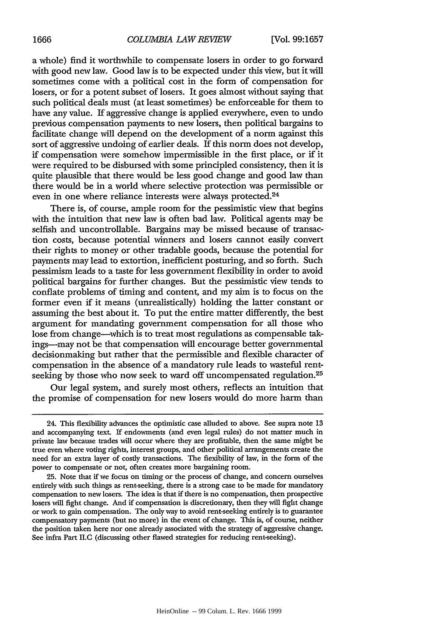a whole) find it worthwhile to compensate losers in order to go forward with good new law. Good law is to be expected under this view, but it will sometimes come with a political cost in the form of compensation for losers, or for a potent subset of losers. It goes almost without saying that such political deals must (at least sometimes) be enforceable for them to have any value. If aggressive change is applied everywhere, even to undo previous compensation payments to new losers, then political bargains to facilitate change will depend on the development of a norm against this sort of aggressive undoing of earlier deals. If this norm does not develop, if compensation were somehow impermissible in the first place, or if it were required to be disbursed with some principled consistency, then it is quite plausible that there would be less good change and good law than there would be in a world where selective protection was permissible or even in one where reliance interests were always protected.<sup>24</sup>

There is, of course, ample room for the pessimistic view that begins with the intuition that new law is often bad law. Political agents may be selfish and uncontrollable. Bargains may be missed because of transaction costs, because potential winners and losers cannot easily convert their rights to money or other tradable goods, because the potential for payments may lead to extortion, inefficient posturing, and so forth. Such pessimism leads to a taste for less government flexibility in order to avoid political bargains for further changes. But the pessimistic view tends to conflate problems of timing and content, and my aim is to focus on the former even if it means (unrealistically) holding the latter constant or assuming the best about it. To put the entire matter differently, the best argument for mandating government compensation for all those who lose from change-which is to treat most regulations as compensable takings-may not be that compensation will encourage better governmental decisionmaking but rather that the permissible and flexible character of compensation in the absence of a mandatory rule leads to wasteful rentseeking by those who now seek to ward off uncompensated regulation.<sup>25</sup>

Our legal system, and surely most others, reflects an intuition that the promise of compensation for new losers would do more harm than

<sup>24.</sup> This flexibility advances the optimistic case alluded to above. See supra note 13 and accompanying text. If endowments (and even legal rules) do not matter much in private law because trades will occur where they are profitable, then the same might be true even where voting rights, interest groups, and other political arrangements create the need for an extra layer of costly transactions. The fiexibility of law, in the form of the power to compensate or not, often creates more bargaining room.

**<sup>25.</sup>** Note that if we focus on timing or the process of change, and concern ourselves entirely with such things as rent-seeking, there is a strong case to be made for mandatory compensation to new losers. The idea is that if there is no compensation, then prospective losers will fight change. And if compensation is discretionary, then they will fight change or work to gain compensation. The only way to avoid rent-seeking entirely is to guarantee compensatory payments (but no more) in the event of change. This is, of course, neither the position taken here nor one already associated with the strategy of aggressive change. See infra Part II.C (discussing other flawed strategies for reducing rent-seeking).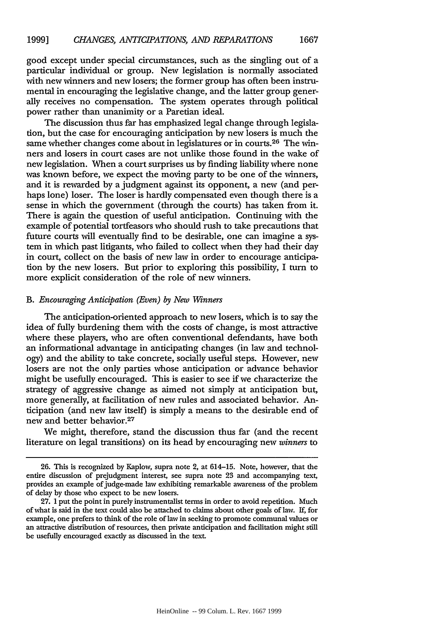good except under special circumstances, such as the singling out of a particular individual or group. New legislation is normally associated with new winners and new losers; the former group has often been instrumental in encouraging the legislative change, and the latter group generally receives no compensation. The system operates through political power rather than unanimity or a Paretian ideal.

The discussion thus far has emphasized legal change through legislation, but the case for encouraging anticipation by new losers is much the same whether changes come about in legislatures or in courts.<sup>26</sup> The winners and losers in court cases are not unlike those found in the wake of new legislation. When a court surprises us by finding liability where none was known before, we expect the moving party to be one of the winners, and it is rewarded by a judgment against its opponent, a new (and perhaps lone) loser. The loser is hardly compensated even though there is a sense in which the government (through the courts) has taken from it. There is again the question of useful anticipation. Continuing with the example of potential tortfeasors who should rush to take precautions that future courts will eventually find to be desirable, one can imagine a system in which past litigants, who failed to collect when they had their day in court, collect on the basis of new law in order to encourage anticipation by the new losers. But prior to exploring this possibility, I turn to more explicit consideration of the role of new winners.

#### B. *Encouraging Anticipation (Even) by New Winners*

The anticipation-oriented approach to new losers, which is to say the idea of fully burdening them with the costs of change, is most attractive where these players, who are often conventional defendants, have both an informational advantage in anticipating changes (in law and technology) and the ability to take concrete, socially useful steps. However, new losers are not the only parties whose anticipation or advance behavior might be usefully encouraged. This is easier to see if we characterize the strategy of aggressive change as aimed not simply at anticipation but, more generally, at facilitation of new rules and associated behavior. Anticipation (and new law itself) is simply a means to the desirable end of new and better behavior.<sup>27</sup>

We might, therefore, stand the discussion thus far (and the recent literature on legal transitions) on its head by encouraging new *winners* to

<sup>26.</sup> This is recognized by Kaplow, supra note 2, at 614-15. Note, however, that the entire discussion of prejudgment interest, see supra note **23** and accompanying text, provides an example ofjudge-made law exhibiting remarkable awareness of the problem of delay by those who expect to be new losers.

<sup>27.</sup> I put the point in purely instrumentalist terms in order to avoid repetition. Much of what is said in the text could also be attached to claims about other goals of law. If, for example, one prefers to think of the role of law in seeking to promote communal values or an attractive distribution of resources, then private anticipation and facilitation might still be usefully encouraged exactly as discussed in the text.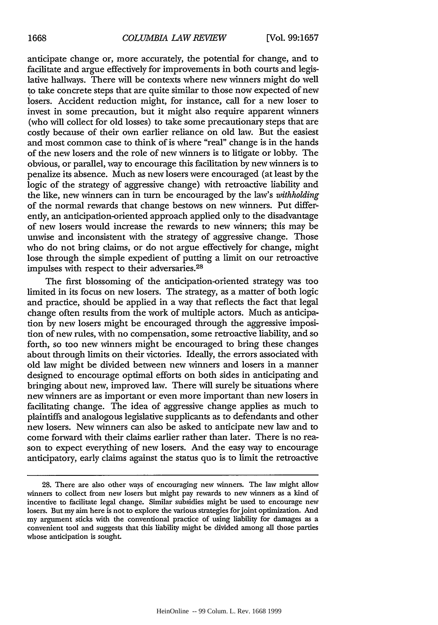anticipate change or, more accurately, the potential for change, and to facilitate and argue effectively for improvements in both courts and legislative hallways. There will be contexts where new winners might do well to take concrete steps that are quite similar to those now expected of new losers. Accident reduction might, for instance, call for a new loser to invest in some precaution, but it might also require apparent winners (who will collect for old losses) to take some precautionary steps that are costly because of their own earlier reliance on old law. But the easiest and most common case to think of is where "real" change is in the hands of the new losers and the role of new winners is to litigate or lobby. The obvious, or parallel, way to encourage this facilitation by new winners is to penalize its absence. Much as new losers were encouraged (at least by the logic of the strategy of aggressive change) with retroactive liability and the like, new winners can in turn be encouraged by the law's *withholding* of the normal rewards that change bestows on new winners. Put differently, an anticipation-oriented approach applied only to the disadvantage of new losers would increase the rewards to new winners; this may be unwise and inconsistent with the strategy of aggressive change. Those who do not bring claims, or do not argue effectively for change, might lose through the simple expedient of putting a limit on our retroactive impulses with respect to their adversaries. <sup>28</sup>

The first blossoming of the anticipation-oriented strategy was too limited in its focus on new losers. The strategy, as a matter of both logic and practice, should be applied in a way that reflects the fact that legal change often results from the work of multiple actors. Much as anticipation by new losers might be encouraged through the aggressive imposition of new rules, with no compensation, some retroactive liability, and so forth, so too new winners might be encouraged to bring these changes about through limits on their victories. Ideally, the errors associated with old law might be divided between new winners and losers in a manner designed to encourage optimal efforts on both sides in anticipating and bringing about new, improved law. There will surely be situations where new winners are as important or even more important than new losers in facilitating change. The idea of aggressive change applies as much to plaintiffs and analogous legislative supplicants as to defendants and other new losers. New winners can also be asked to anticipate new law and to come forward with their claims earlier rather than later. There is no reason to expect everything of new losers. And the easy way to encourage anticipatory, early claims against the status quo is to limit the retroactive

<sup>28.</sup> There are also other ways of encouraging new winners. The law might allow winners to collect from new losers but might pay rewards to new winners as a kind of incentive to facilitate legal change. Similar subsidies might be used to encourage new losers. But my aim here is not to explore the various strategies for joint optimization. And my argument sticks with the conventional practice of using liability for damages as a convenient tool and suggests that this liability might be divided among all those parties whose anticipation is sought.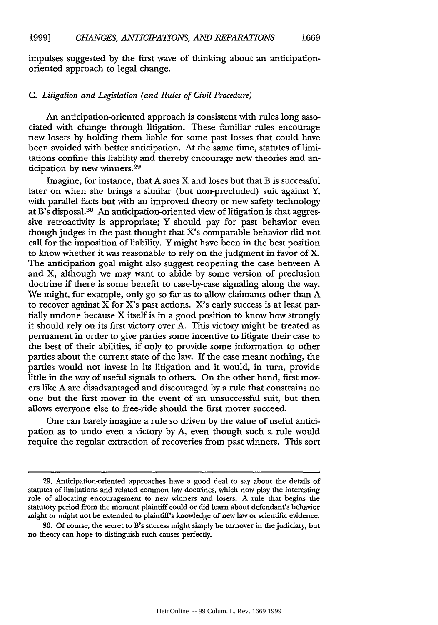impulses suggested by the first wave of thinking about an anticipationoriented approach to legal change.

#### *C. Litigation and Legislation (and Rules of Civil Procedure)*

An anticipation-oriented approach is consistent with rules long associated with change through litigation. These familiar rules encourage new losers by holding them liable for some past losses that could have been avoided with better anticipation. At the same time, statutes of limitations confine this liability and thereby encourage new theories and anticipation by new winners. <sup>29</sup>

Imagine, for instance, that A sues X and loses but that B is successful later on when she brings a similar (but non-precluded) suit against Y, with parallel facts but with an improved theory or new safety technology at B's disposal.30 An anticipation-oriented view of litigation is that aggressive retroactivity is appropriate; Y should pay for past behavior even though judges in the past thought that X's comparable behavior did not call for the imposition of liability. Y might have been in the best position to know whether it was reasonable to rely on the judgment in favor of X. The anticipation goal might also suggest reopening the case between A and X, although we may want to abide by some version of preclusion doctrine if there is some benefit to case-by-case signaling along the way. We might, for example, only go so far as to allow claimants other than A to recover against X for X's past actions. X's early success is at least partially undone because X itself is in a good position to know how strongly it should rely on its first victory over A. This victory might be treated as permanent in order to give parties some incentive to litigate their case to the best of their abilities, if only to provide some information to other parties about the current state of the law. If the case meant nothing, the parties would not invest in its litigation and it would, in turn, provide little in the way of useful signals to others. On the other hand, first movers like A are disadvantaged and discouraged by a rule that constrains no one but the first mover in the event of an unsuccessful suit, but then allows everyone else to free-ride should the first mover succeed.

One can barely imagine a rule so driven by the value of useful anticipation as to undo even a victory by A, even though such a rule would require the regular extraction of recoveries from past winners. This sort

**<sup>29.</sup>** Anticipation-oriented approaches have a good deal to say about the details of statutes of limitations and related common law doctrines, which now play the interesting role of allocating encouragement to new winners and losers. A rule that begins the statutory period from the moment plaintiff could or did learn about defendant's behavior might or might not be extended to plaintiff's knowledge of new law or scientific evidence.

<sup>30.</sup> Of course, the secret to B's success might simply be turnover in the judiciary, but no theory can hope to distinguish such causes perfectly.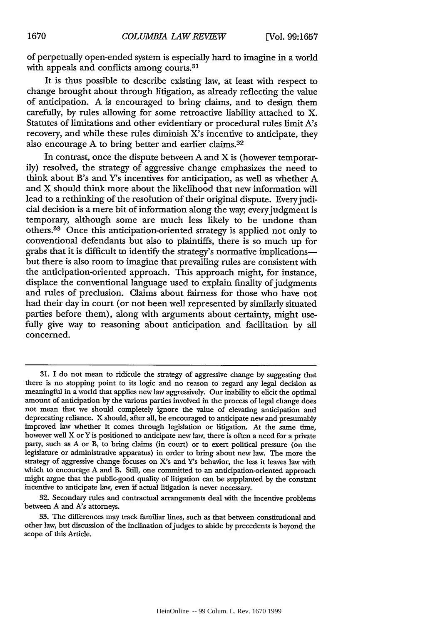of perpetually open-ended system is especially hard to imagine in a world with appeals and conflicts among courts.<sup>31</sup>

It is thus possible to describe existing law, at least with respect to change brought about through litigation, as already reflecting the value of anticipation. A is encouraged to bring claims, and to design them carefully, by rules allowing for some retroactive liability attached to X. Statutes of limitations and other evidentiary or procedural rules limit A's recovery, and while these rules diminish X's incentive to anticipate, they also encourage A to bring better and earlier claims.<sup>32</sup>

In contrast, once the dispute between A and X is (however temporarily) resolved, the strategy of aggressive change emphasizes the need to think about B's and Ys incentives for anticipation, as well as whether **A** and X should think more about the likelihood that new information will lead to a rethinking of the resolution of their original dispute. Every judicial decision is a mere bit of information along the way; every judgment is temporary, although some are much less likely to be undone than others.33 Once this anticipation-oriented strategy is applied not only to conventional defendants but also to plaintiffs, there is so much up for grabs that it is difficult to identify the strategy's normative implicationsbut there is also room to imagine that prevailing rules are consistent with the anticipation-oriented approach. This approach might, for instance, displace the conventional language used to explain finality of judgments and rules of preclusion. Claims about fairness for those who have not had their day in court (or not been well represented by similarly situated parties before them), along with arguments about certainty, might usefully give way to reasoning about anticipation and facilitation by all concerned.

<sup>31.</sup> I do not mean to ridicule the strategy of aggressive change by suggesting that there is no stopping point to its logic and no reason to regard any legal decision as meaningful in a world that applies new law aggressively. Our inability to elicit the optimal amount of anticipation by the various parties involved in the process of legal change does not mean that we should completely ignore the value of elevating anticipation and deprecating reliance. X should, after all, be encouraged to anticipate new and presumably improved law whether it comes through legislation or litigation. At the same time, however well X or Y is positioned to anticipate new law, there is often a need for a private party, such as A or B, to bring claims (in court) or to exert political pressure (on the legislature or administrative apparatus) in order to bring about new law. The more the strategy of aggressive change focuses on X's and Y's behavior, the less it leaves law with which to encourage A and B. Still, one committed to an anticipation-oriented approach might argue that the public-good quality of litigation can be supplanted by the constant incentive to anticipate law, even if actual litigation is never necessary.

**<sup>32.</sup>** Secondary rules and contractual arrangements deal with the incentive problems between A and A's attorneys.

<sup>33.</sup> The differences may track familiar lines, such as that between constitutional and other law, but discussion of the inclination of judges to abide by precedents is beyond the scope of this Article.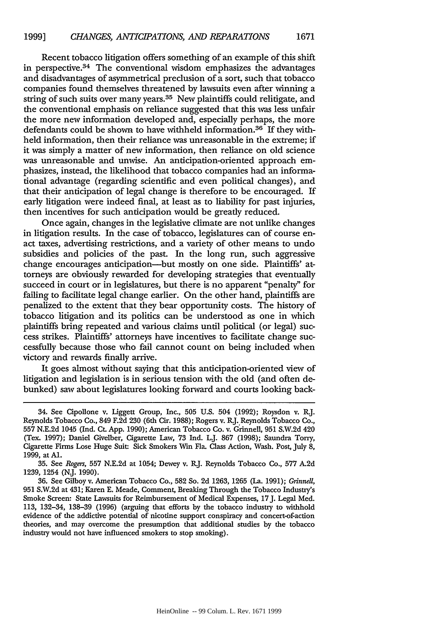Recent tobacco litigation offers something of an example of this shift in perspective.<sup>34</sup> The conventional wisdom emphasizes the advantages and disadvantages of asymmetrical preclusion of a sort, such that tobacco companies found themselves threatened by lawsuits even after winning a string of such suits over many years. $35$  New plaintiffs could relitigate, and the conventional emphasis on reliance suggested that this was less unfair the more new information developed and, especially perhaps, the more defendants could be shown to have withheld information.<sup>36</sup> If they withheld information, then their reliance was unreasonable in the extreme; if it was simply a matter of new information, then reliance on old science was unreasonable and unwise. An anticipation-oriented approach emphasizes, instead, the likelihood that tobacco companies had an informational advantage (regarding scientific and even political changes), and that their anticipation of legal change is therefore to be encouraged. If early litigation were indeed final, at least as to liability for past injuries, then incentives for such anticipation would be greatly reduced.

Once again, changes in the legislative climate are not unlike changes in litigation results. In the case of tobacco, legislatures can of course enact taxes, advertising restrictions, and a variety of other means to undo subsidies and policies of the past. In the long run, such aggressive change encourages anticipation-but mostly on one side. Plaintiffs' attorneys are obviously rewarded for developing strategies that eventually succeed in court or in legislatures, but there is no apparent "penalty" for failing to facilitate legal change earlier. On the other hand, plaintiffs are penalized to the extent that they bear opportunity costs. The history of tobacco litigation and its politics can be understood as one in which plaintiffs bring repeated and various claims until political (or legal) success strikes. Plaintiffs' attorneys have incentives to facilitate change successfully because those who fail cannot count on being included when victory and rewards finally arrive.

It goes almost without saying that this anticipation-oriented view of litigation and legislation is in serious tension with the old (and often debunked) saw about legislatures looking forward and courts looking back-

<sup>34.</sup> See Cipollone v. Liggett Group, Inc., 505 U.S. 504 (1992); Roysdon v. **R.J.** Reynolds Tobacco Co., 849 F.2d 230 (6th Cir. 1988); Rogers v. R.J. Reynolds Tobacco Co., 557 N.E.2d 1045 (Ind. Ct. App. 1990); American Tobacco Co. v. Grinnell, 951 S.W.2d 420 (Tex. 1997); Daniel Givelber, Cigarette Law, 73 Ind. L.J. 867 (1998); Saundra Torry, Cigarette Firms Lose Huge Suit: Sick Smokers Wm Fla. Class Action, Wash. Post, July 8, 1999, at **A1.**

<sup>35.</sup> See *Rogers,* 557 N.E.2d at 1054; Dewey v. R.J. Reynolds Tobacco Co., 577 A.2d 1239, 1254 (NJ. 1990).

<sup>36.</sup> See Gilboy v. American Tobacco Co., 582 So. 2d 1263, 1265 (La. 1991); *Grinnell,* 951 S.W.2d at 431; Karen **E.** Meade, Comment, Breaking Through the Tobacco Industry's Smoke Screen: State Lawsuits for Reimbursement of Medical Expenses, 17J. Legal Med. 113, 132-34, 138-39 (1996) (arguing that efforts **by** the tobacco industry to withhold evidence of the addictive potential of nicotine support conspiracy and concert-of-action theories, and may overcome the presumption that additional studies **by** the tobacco industry would not have influenced smokers to stop smoking).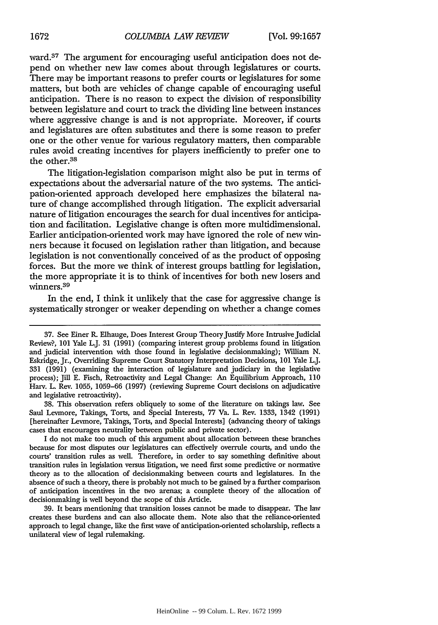ward.<sup>37</sup> The argument for encouraging useful anticipation does not depend on whether new law comes about through legislatures or courts. There may be important reasons to prefer courts or legislatures for some matters, but both are vehicles of change capable of encouraging useful anticipation. There is no reason to expect the division of responsibility between legislature and court to track the dividing line between instances where aggressive change is and is not appropriate. Moreover, if courts and legislatures are often substitutes and there is some reason to prefer one or the other venue for various regulatory matters, then comparable rules avoid creating incentives for players inefficiently to prefer one to the other.38

The litigation-legislation comparison might also be put in terms of expectations about the adversarial nature of the two systems. The anticipation-oriented approach developed here emphasizes the bilateral nature of change accomplished through litigation. The explicit adversarial nature of litigation encourages the search for dual incentives for anticipation and facilitation. Legislative change is often more multidimensional. Earlier anticipation-oriented work may have ignored the role of new winners because it focused on legislation rather than litigation, and because legislation is not conventionally conceived of as the product of opposing forces. But the more we think of interest groups battling for legislation, the more appropriate it is to think of incentives for both new losers and winners.<sup>39</sup>

In the end, I think it unlikely that the case for aggressive change is systematically stronger or weaker depending on whether a change comes

38. This observation refers obliquely to some of the literature on takings law. See Saul Levmore, Takings, Torts, and Special Interests, 77 Va. L. Rev. 1333, 1342 (1991) [hereinafter Levmore, Takings, Torts, and Special Interests] (advancing theory of takings cases that encourages neutrality between public and private sector).

I do not make too much of this argument about allocation between these branches because for most disputes our legislatures can effectively overrule courts, and undo the courts' transition rules as well. Therefore, in order to say something definitive about transition rules in legislation versus litigation, we need first some predictive or normative theory as to the allocation of decisionmaking between courts and legislatures. In the absence of such a theory, there is probably not much to be gained by a further comparison of anticipation incentives in the two arenas; a complete theory of the allocation of decisionmaking is well beyond the scope of this Article.

39. It bears mentioning that transition losses cannot be made to disappear. The law creates these burdens and can also allocate them. Note also that the reliance-oriented approach to legal change, like the first wave of anticipation-oriented scholarship, reflects a unilateral view of legal rulemaking.

<sup>37.</sup> See Einer R- Elhauge, Does Interest Group TheoryJustify More Intrusive Judicial Review?, 101 Yale L.J. 31 (1991) (comparing interest group problems found in litigation and judicial intervention with those found in legislative decisionmaking); William N. Eskridge, Jr., Overriding Supreme Court Statutory Interpretation Decisions, **101** Yale L.J. 331 (1991) (examining the interaction of legislature and judiciary in the legislative process); Jill E. Fisch, Retroactivity and Legal Change: An Equilibrium Approach, 110 Harv. L. Rev. 1055, 1059-66 (1997) (reviewing Supreme Court decisions on adjudicative and legislative retroactivity).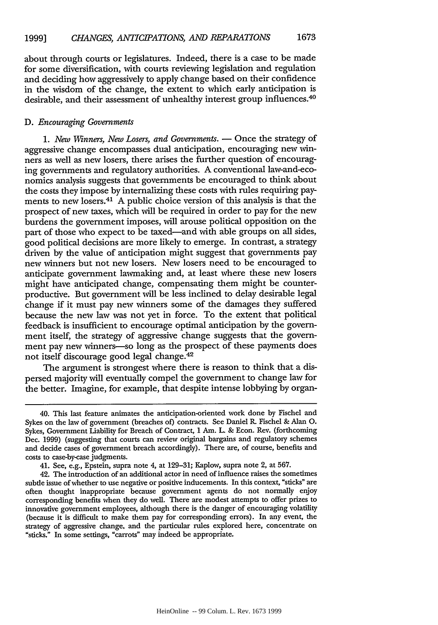about through courts or legislatures. Indeed, there is a case to be made for some diversification, with courts reviewing legislation and regulation and deciding how aggressively to apply change based on their confidence in the wisdom of the change, the extent to which early anticipation is desirable, and their assessment of unhealthy interest group influences.<sup>40</sup>

#### *D. Encouraging Governments*

1. *New Winners, New Losers, and Governments.* — Once the strategy of aggressive change encompasses dual anticipation, encouraging new winners as well as new losers, there arises the further question of encouraging governments and regulatory authorities. A conventional law-and-economics analysis suggests that governments be encouraged to think about the costs they impose by internalizing these costs with rules requiring payments to new losers.<sup>41</sup> A public choice version of this analysis is that the prospect of new taxes, which will be required in order to pay for the new burdens the government imposes, will arouse political opposition on the part of those who expect to be taxed-and with able groups on all sides, good political decisions are more likely to emerge. In contrast, a strategy driven by the value of anticipation might suggest that governments pay new winners but not new losers. New losers need to be encouraged to anticipate government lawmaking and, at least where these new losers might have anticipated change, compensating them might be counterproductive. But government will be less inclined to delay desirable legal change if it must pay new winners some of the damages they suffered because the new law was not yet in force. To the extent that political feedback is insufficient to encourage optimal anticipation by the government itself, the strategy of aggressive change suggests that the government pay new winners-so long as the prospect of these payments does not itself discourage good legal change. <sup>42</sup>

The argument is strongest where there is reason to think that a dispersed majority will eventually compel the government to change law for the better. Imagine, for example, that despite intense lobbying by organ-

<sup>40.</sup> This last feature animates the anticipation-oriented work done by Fischel and Sykes on the law of government (breaches of) contracts. See Daniel R. Fischel & Alan **0.** Sykes, Government Liability for Breach of Contract, 1 Am. L. & Econ. Rev. (forthcoming Dec. 1999) (suggesting that courts can review original bargains and regulatory schemes and decide cases of government breach accordingly). There are, of course, benefits and costs to case-by-case judgments.

<sup>41.</sup> See, e.g., Epstein, supra note 4, at 129-31; Kaplow, supra note 2, at 567.

<sup>42.</sup> The introduction of an additional actor in need of influence raises the sometimes subtle issue of whether to use negative or positive inducements. In this context, "sticks" are often thought inappropriate because government agents do not normally enjoy corresponding benefits when they do well. There are modest attempts to offer prizes to innovative government employees, although there is the danger of encouraging volatility (because it is difficult to make them pay for corresponding errors). In any event, the strategy of aggressive change, and the particular rules explored here, concentrate on "sticks." In some settings, "carrots" may indeed be appropriate.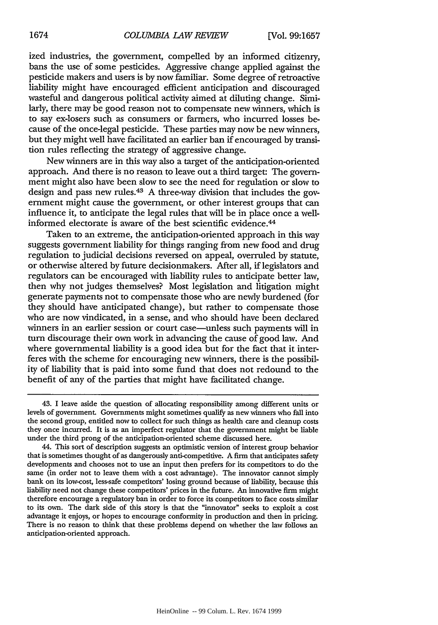ized industries, the government, compelled by an informed citizenry, bans the use of some pesticides. Aggressive change applied against the pesticide makers and users is by now familiar. Some degree of retroactive liability might have encouraged efficient anticipation and discouraged wasteful and dangerous political activity aimed at diluting change. Similarly, there may be good reason not to compensate new winners, which is to say ex-losers such as consumers or farmers, who incurred losses because of the once-legal pesticide. These parties may now be new winners, but they might well have facilitated an earlier ban if encouraged by transition rules reflecting the strategy of aggressive change.

New winners are in this way also a target of the anticipation-oriented approach. And there is no reason to leave out a third target: The government might also have been slow to see the need for regulation or slow to design and pass new rules.<sup>43</sup> A three-way division that includes the government might cause the government, or other interest groups that can influence it, to anticipate the legal rules that will be in place once a wellinformed electorate is aware of the best scientific evidence. <sup>44</sup>

Taken to an extreme, the anticipation-oriented approach in this way suggests govemment liability for things ranging from new food and drug regulation to judicial decisions reversed on appeal, overruled by statute, or otherwise altered by future decisionmakers. After all, if legislators and regulators can be encouraged with liability rules to anticipate better law, then why not judges themselves? Most legislation and litigation might generate payments not to compensate those who are newly burdened (for they should have anticipated change), but rather to compensate those who are now vindicated, in a sense, and who should have been declared winners in an earlier session or court case—unless such payments will in turn discourage their own work in advancing the cause of good law. And where governmental liability is a good idea but for the fact that it interferes with the scheme for encouraging new winners, there is the possibility of liability that is paid into some fund that does not redound to the benefit of any of the parties that might have facilitated change.

<sup>43.</sup> I leave aside the question of allocating responsibility among different units or levels of government. Governments might sometimes qualify as new winners who fall into the second group, entitled now to collect for such things as health care and cleanup costs they once incurred. It is as an imperfect regulator that the government might be liable under the third prong of the anticipation-oriented scheme discussed here.

<sup>44.</sup> This sort of description suggests an optimistic version of interest group behavior that is sometimes thought of as dangerously anti-competitive. A firm that anticipates safety developments and chooses not to use an input then prefers for its competitors to do the same (in order not to leave them with a cost advantage). The innovator cannot simply bank on its low-cost, less-safe competitors' losing ground because of liability, because this liability need not change these competitors' prices in the future. An innovative firm might therefore encourage a regulatory ban in order to force its competitors to face costs similar to its own. The dark side of this story is that the "innovator" seeks to exploit a cost advantage it enjoys, or hopes to encourage conformity in production and then in pricing. There is no reason to think that these problems depend on whether the law follows an anticipation-oriented approach.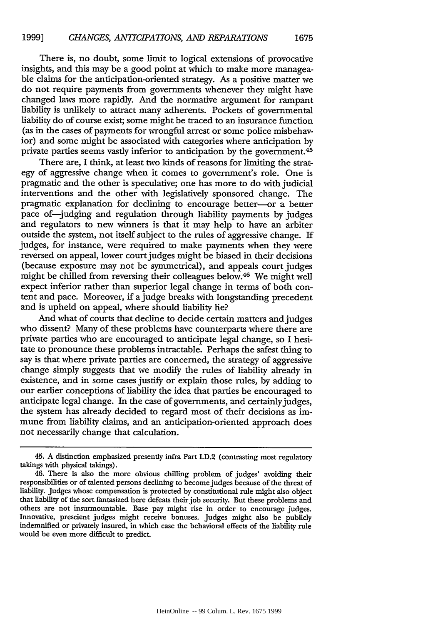There is, no doubt, some limit to logical extensions of provocative insights, and this may be a good point at which to make more manageable claims for the anticipation-oriented strategy. As a positive matter we do not require payments from governments whenever they might have changed laws more rapidly. And the normative argument for rampant liability is unlikely to attract many adherents. Pockets of governmental liability do of course exist; some might be traced to an insurance function (as in the cases of payments for wrongful arrest or some police misbehavior) and some might be associated with categories where anticipation by private parties seems vastly inferior to anticipation by the government.<sup>45</sup>

There are, I think, at least two kinds of reasons for limiting the strategy of aggressive change when it comes to government's role. One is pragmatic and the other is speculative; one has more to do with judicial interventions and the other with legislatively sponsored change. The pragmatic explanation for declining to encourage better-or a better pace of-judging and regulation through liability payments by judges and regulators to new winners is that it may help to have an arbiter outside the system, not itself subject to the rules of aggressive change. If judges, for instance, were required to make payments when they were reversed on appeal, lower court judges might be biased in their decisions (because exposure may not be symmetrical), and appeals court judges might be chilled from reversing their colleagues below.<sup>46</sup> We might well expect inferior rather than superior legal change in terms of both content and pace. Moreover, if a judge breaks with longstanding precedent and is upheld on appeal, where should liability he?

And what of courts that decline to decide certain matters and judges who dissent? Many of these problems have counterparts where there are private parties who are encouraged to anticipate legal change, so I hesitate to pronounce these problems intractable. Perhaps the safest thing to say is that where private parties are concerned, the strategy of aggressive change simply suggests that we modify the rules of liability already in existence, and in some cases justify or explain those rules, by adding to our earlier conceptions of liability the idea that parties be encouraged to anticipate legal change. In the case of governments, and certainly judges, the system has already decided to regard most of their decisions as immune from liability claims, and an anticipation-oriented approach does not necessarily change that calculation.

<sup>45.</sup> A distinction emphasized presently infra Part I.D.2 (contrasting most regulatory takings with physical takings).

<sup>46.</sup> There is also the more obvious chilling problem of judges' avoiding their responsibilities or of talented persons declining to become judges because of the threat of liability. Judges whose compensation is protected by constitutional rule might also object that liability of the sort fantasized here defeats their job security. But these problems and others are not insurmountable. Base pay might rise in order to encourage judges. Innovative, prescient judges might receive bonuses. Judges might also be publicly indemnified or privately insured, in which case the behavioral effects of the liability rule would be even more difficult to predict.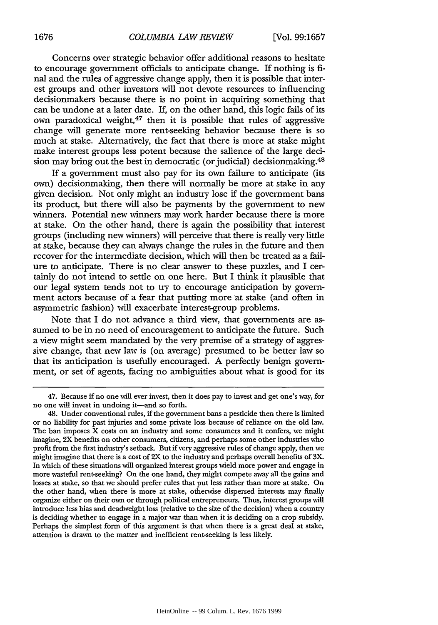Concerns over strategic behavior offer additional reasons to hesitate to encourage government officials to anticipate change. If nothing is final and the rules of aggressive change apply, then it is possible that interest groups and other investors will not devote resources to influencing decisionmakers because there is no point in acquiring something that can be undone at a later date. *If,* on the other hand, this logic fails of its own paradoxical weight, $47$  then it is possible that rules of aggressive change will generate more rent-seeking behavior because there is so much at stake. Alternatively, the fact that there is more at stake might make interest groups less potent because the salience of the large decision may bring out the best in democratic (or judicial) decisionmaking.<sup>48</sup>

If a government must also pay for its own failure to anticipate (its own) decisionmaking, then there will normally be more at stake in any given decision. Not only might an industry lose if the government bans its product, but there will also be payments by the government to new winners. Potential new winners may work harder because there is more at stake. On the other hand, there is again the possibility that interest groups (including new winners) will perceive that there is really very little at stake, because they can always change the rules in the future and then recover for the intermediate decision, which will then be treated as a failure to anticipate. There is no clear answer to these puzzles, and I certainly do not intend to settle on one here. But I think it plausible that our legal system tends not to try to encourage anticipation by govemment actors because of a fear that putting more at stake (and often in asymmetric fashion) will exacerbate interest-group problems.

Note that I do not advance a third view, that governments are assumed to be in no need of encouragement to anticipate the future. Such a view might seem mandated by the very premise of a strategy of aggressive change, that new law is (on average) presumed to be better law so that its anticipation is usefully encouraged. A perfectly benign government, or set of agents, facing no ambiguities about what is good for its

<sup>47.</sup> Because **if** no one wil ever invest, then it does pay to invest and get one's way, for no one will invest in undoing it-and so forth.

<sup>48.</sup> Under conventional rules, if the government bans a pesticide then there is limited or no liability for past injuries and some private loss because of reliance on the old law. The ban imposes X costs on an industry and some consumers and it confers, we might imagine, 2X benefits on other consumers, citizens, and perhaps some other industries who profit from the first industry's setback. But if very aggressive rules of change apply, then we might imagine that there is a cost of 2X to the industry and perhaps overall benefits of 3X. In which of these situations will organized interest groups wield more power and engage in more wasteful rent-seeking? On the one hand, they might compete away all the gains and losses at stake, so that we should prefer rules that put less rather than more at stake. On the other hand, when there is more at stake, otherwise dispersed interests may finally organize either on their own or through political entrepreneurs. Thus, interest groups wil introduce less bias and deadweight loss (relative to the size of the decision) when a country is deciding whether to engage in a major war than when it is deciding on a crop subsidy. Perhaps the simplest form of this argument is that when there is a great deal at stake, attention is drawn to the matter and inefficient rent-seeking is less likely.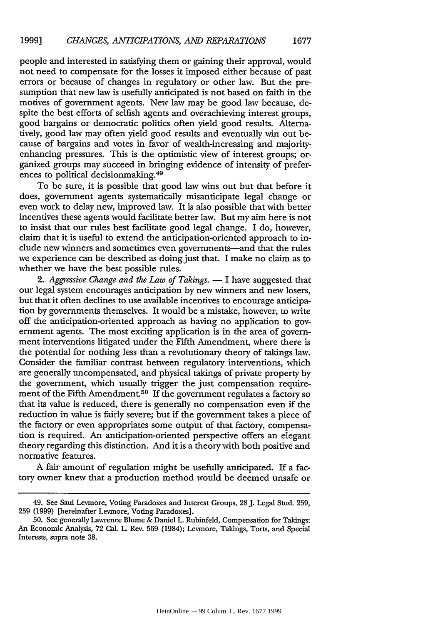people and interested in satisfying them or gaining their approval, would not need to compensate for the losses it imposed either because of past errors or because of changes in regulatory or other law. But the presumption that new law is usefully anticipated is not based on faith in the motives of government agents. New law may be good law because, despite the best efforts of selfish agents and overachieving interest groups, good bargains or democratic politics often yield good results. Alternatively, good law may often yield good results and eventually win out because of bargains and votes in favor of wealth-increasing and majorityenhancing pressures. This is the optimistic view of interest groups; organized groups may succeed in bringing evidence of intensity of preferences to political decisionmaking. <sup>49</sup>

To be sure, it is possible that good law wins out but that before it does, government agents systematically misanticipate legal change or even work to delay new, improved law. It is also possible that with better incentives these agents would facilitate better law. But my aim here is not to insist that our rules best facilitate good legal change. I do, however, claim that it is useful to extend the anticipation-oriented approach to include new winners and sometimes even governments-and that the rules we experience can be described as doing just that. I make no claim as to whether we have the best possible rules.

*2. Aggressive Change and the Law of Takings.* **-** I have suggested that our legal system encourages anticipation by new winners and new losers, but that it often declines to use available incentives to encourage anticipation by governments themselves. It would be a mistake, however, to write off the anticipation-oriented approach as having no application to government agents. The most exciting application is in the area of government interventions litigated under the Fifth Amendment, where there is the potential for nothing less than a revolutionary theory of takings law. Consider the familiar contrast between regulatory interventions, which are generally uncompensated, and physical takings of private property by the government, which usually trigger the just compensation requirement of the Fifth Amendment.<sup>50</sup> If the government regulates a factory so that its value is reduced, there is generally no compensation even if the reduction in value is fairly severe; but if the government takes a piece of the factory or even appropriates some output of that factory, compensation is required. An anticipation-oriented perspective offers an elegant theory regarding this distinction. And it is a theory with both positive and normative features.

A fair amount of regulation might be usefully anticipated. If a factory owner knew that a production method would be deemed unsafe or

<sup>49.</sup> See Saul Levmore, Voting Paradoxes and Interest Groups, 28 J. Legal Stud. 259, 259 (1999) [hereinafter Levmore, Voting Paradoxes].

<sup>50.</sup> See generally Lawrence Blume & Daniel L. Rubinfeld, Compensation for Takings: An Economic Analysis, 72 Cal. L. Rev. 569 (1984); Levmore, Takings, Torts, and Special Interests, supra note 38.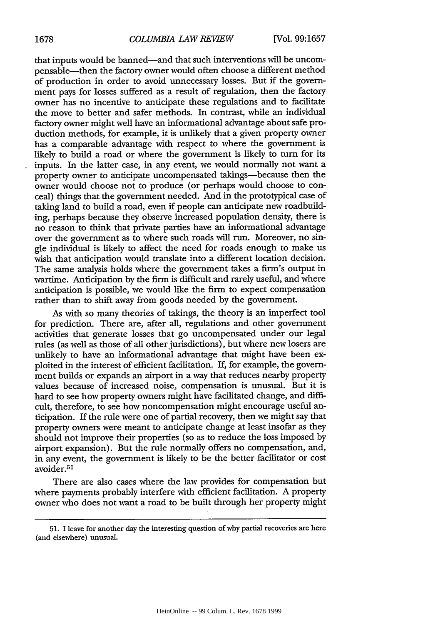that inputs would be banned-and that such interventions will be uncompensable-then the factory owner would often choose a different method of production in order to avoid unnecessary losses. But if the government pays for losses suffered as a result of regulation, then the factory owner has no incentive to anticipate these regulations and to facilitate the move to better and safer methods. In contrast, while an individual factory owner might well have an informational advantage about safe production methods, for example, it is unlikely that a given property owner has a comparable advantage with respect to where the government is likely to build a road or where the government is likely to turn for its inputs. In the latter case, in any event, we would normally not want a property owner to anticipate uncompensated takings-because then the owner would choose not to produce (or perhaps would choose to conceal) things that the government needed. And in the prototypical case of taking land to build a road, even if people can anticipate new roadbuilding, perhaps because they observe increased population density, there is no reason to think that private parties have an informational advantage over the government as to where such roads will run. Moreover, no single individual is likely to affect the need for roads enough to make us wish that anticipation would translate into a different location decision. The same analysis holds where the government takes a firm's output in wartime. Anticipation by the firm is difficult and rarely useful, and where anticipation is possible, we would like the firm to expect compensation rather than to shift away from goods needed by the government.

As with so many theories of takings, the theory is an imperfect tool for prediction. There are, after all, regulations and other government activities that generate losses that go uncompensated under our legal rules (as well as those of all other jurisdictions), but where new losers are unlikely to have an informational advantage that might have been exploited in the interest of efficient facilitation. If, for example, the government builds or expands an airport in a way that reduces nearby property values because of increased noise, compensation is unusual. But it is hard to see how property owners might have facilitated change, and difficult, therefore, to see how noncompensation might encourage useful anticipation. If the rule were one of partial recovery, then we might say that property owners were meant to anticipate change at least insofar as they should not improve their properties (so as to reduce the loss imposed by airport expansion). But the rule normally offers no compensation, and, in any event, the government is likely to be the better facilitator or cost avoider.<sup>51</sup>

There are also cases where the law provides for compensation but where payments probably interfere with efficient facilitation. A property owner who does not want a road to be built through her property might

<sup>51.</sup> I leave for another day the interesting question of why partial recoveries are here (and elsewhere) unusual.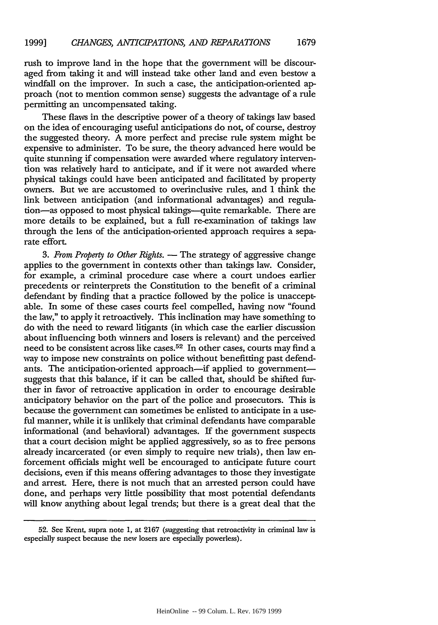rush to improve land in the hope that the government will be discouraged from taking it and will instead take other land and even bestow a windfall on the improver. In such a case, the anticipation-oriented approach (not to mention common sense) suggests the advantage of a rule permitting an uncompensated taking.

These flaws in the descriptive power of a theory of takings law based on the idea of encouraging useful anticipations do not, of course, destroy the suggested theory. A more perfect and precise rule system might be expensive to administer. To be sure, the theory advanced here would be quite stunning if compensation were awarded where regulatory intervention was relatively hard to anticipate, and if it were not awarded where physical takings could have been anticipated and facilitated by property owners. But we are accustomed to overinclusive rules, and I think the link between anticipation (and informational advantages) and regulation-as opposed to most physical takings-quite remarkable. There are more details to be explained, but a full re-examination of takings law through the lens of the anticipation-oriented approach requires a separate effort.

*3. From Property to Other Rights.* **-** The strategy of aggressive change applies to the government in contexts other than takings law. Consider, for example, a criminal procedure case where a court undoes earlier precedents or reinterprets the Constitution to the benefit of a criminal defendant by finding that a practice followed by the police is unacceptable. In some of these cases courts feel compelled, having now "found the law," to apply it retroactively. This inclination may have something to do with the need to reward litigants (in which case the earlier discussion about influencing both winners and losers is relevant) and the perceived need to be consistent across like cases.<sup>52</sup> In other cases, courts may find a way to impose new constraints on police without benefitting past defendants. The anticipation-oriented approach—if applied to government suggests that this balance, if it can be called that, should be shifted further in favor of retroactive application in order to encourage desirable anticipatory behavior on the part of the police and prosecutors. This is because the government can sometimes be enlisted to anticipate in a useful manner, while it is unlikely that criminal defendants have comparable informational (and behavioral) advantages. If the government suspects that a court decision might be applied aggressively, so as to free persons already incarcerated (or even simply to require new trials), then law enforcement officials might well be encouraged to anticipate future court decisions, even if this means offering advantages to those they investigate and arrest. Here, there is not much that an arrested person could have done, and perhaps very little possibility that most potential defendants will know anything about legal trends; but there is a great deal that the

<sup>52.</sup> See Krent, supra note 1, at 2167 (suggesting that retroactivity in criminal law is especially suspect because the new losers are especially powerless).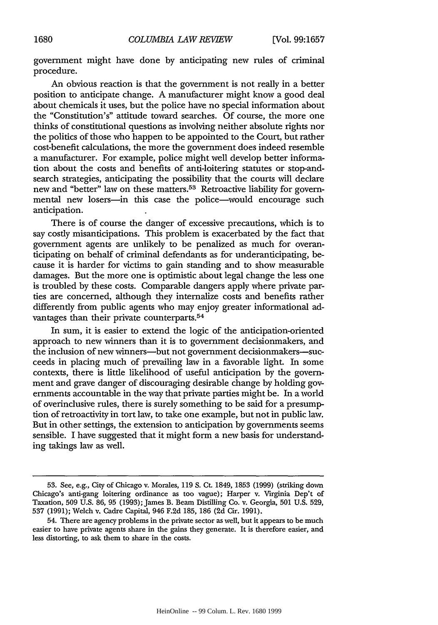government might have done by anticipating new rules of criminal procedure.

An obvious reaction is that the government is not really in a better position to anticipate change. A manufacturer might know a good deal about chemicals it uses, but the police have no special information about the "Constitution's" attitude toward searches. Of course, the more one thinks of constitutional questions as involving neither absolute rights nor the politics of those who happen to be appointed to the Court, but rather cost-benefit calculations, the more the government does indeed resemble a manufacturer. For example, police might well develop better information about the costs and benefits of anti-loitering statutes or stop-andsearch strategies, anticipating the possibility that the courts will declare new and "better" law on these matters.<sup>53</sup> Retroactive liability for governmental new losers-in this case the police-would encourage such anticipation.

There is of course the danger of excessive precautions, which is to say costly misanticipations. This problem is exacerbated by the fact that government agents are unlikely to be penalized as much for overanticipating on behalf of criminal defendants as for underanticipating, because it is harder for victims to gain standing and to show measurable damages. But the more one is optimistic about legal change the less one is troubled by these costs. Comparable dangers apply where private parties are concerned, although they internalize costs and benefits rather differently from public agents who may enjoy greater informational advantages than their private counterparts. <sup>54</sup>

In sum, it is easier to extend the logic of the anticipation-oriented approach to new winners than it is to government decisionmakers, and the inclusion of new winners—but not government decisionmakers—succeeds in placing much of prevailing law in a favorable light. In some contexts, there is little likelihood of useful anticipation by the government and grave danger of discouraging desirable change by holding governments accountable in the way that private parties might be. In a world of overinclusive rules, there is surely something to be said for a presumption of retroactivity in tort law, to take one example, but not in public law. But in other settings, the extension to anticipation by governments seems sensible. I have suggested that it might form a new basis for understanding takings law as well.

<sup>53.</sup> See, e.g., City of Chicago v. Morales, **119** S. Ct. 1849, 1853 (1999) (striking down Chicago's anti-gang loitering ordinance as too vague); Harper v. Virginia Dep't of Taxation, 509 U.S. 86, 95 (1993); James B. Beam Distilling Co. v. Georgia, 501 U.S. 529, 537 (1991); Welch v. Cadre Capital, 946 F.2d 185, **186** (2d Cir. 1991).

<sup>54.</sup> There are agency problems in the private sector as well, but it appears to be much easier to have private agents share in the gains they generate. It is therefore easier, and less distorting, to ask them to share in the costs.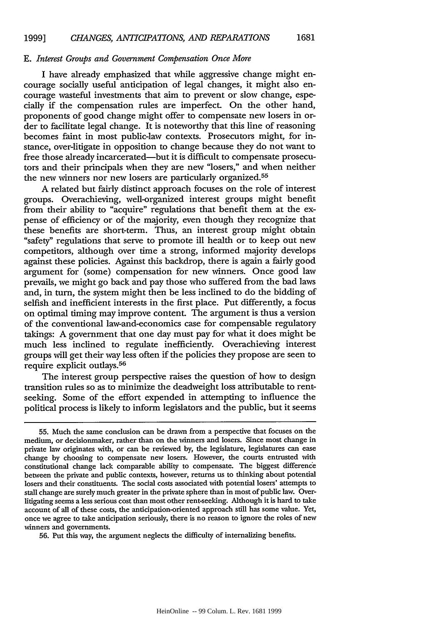#### *E. Interest Groups and Government Compensation Once More*

I have already emphasized that while aggressive change might encourage socially useful anticipation of legal changes, it might also encourage wasteful investments that aim to prevent or slow change, especially if the compensation rules are imperfect. On the other hand, proponents of good change might offer to compensate new losers in order to facilitate legal change. It is noteworthy that this line of reasoning becomes faint in most public-law contexts. Prosecutors might, for instance, over-litigate in opposition to change because they do not want to free those already incarcerated-but it is difficult to compensate prosecutors and their principals when they are new "losers," and when neither the new winners nor new losers are particularly organized.<sup>55</sup>

A related but fairly distinct approach focuses on the role of interest groups. Overachieving, well-organized interest groups might benefit from their ability to "acquire" regulations that benefit them at the expense of efficiency or of the majority, even though they recognize that these benefits are short-term. Thus, an interest group might obtain "safety" regulations that serve to promote ill health or to keep out new competitors, although over time a strong, informed majority develops against these policies. Against this backdrop, there is again a fairly good argument for (some) compensation for new winners. Once good law prevails, we might go back and pay those who suffered from the bad laws and, in turn, the system might then be less inclined to do the bidding of selfish and inefficient interests in the first place. Put differently, a focus on optimal timing may improve content. The argument is thus a version of the conventional law-and-economics case for compensable regulatory takings: A government that one day must pay for what it does might be much less inclined to regulate inefficiently. Overachieving interest groups will get their way less often if the policies they propose are seen to require explicit outlays. <sup>56</sup>

The interest group perspective raises the question of how to design transition rules so as to minimize the deadweight loss attributable to rentseeking. Some of the effort expended in attempting to influence the political process is likely to inform legislators and the public, but it seems

56. Put this way, the argument neglects the difficulty of internalizing benefits.

**<sup>55.</sup>** Much the same conclusion can be drawn from a perspective that focuses on the medium, or decisionmaker, rather than on the winners and losers. Since most change in private law originates with, or can be reviewed by, the legislature, legislatures can ease change by choosing to compensate new losers. However, the courts entrusted with constitutional change lack comparable ability to compensate. The biggest difference between the private and public contexts, however, returns us to thinking about potential losers and their constituents. The social costs associated with potential losers' attempts to stall change are surely much greater in the private sphere than in most of public law. Overlitigating seems a less serious cost than most other rent-seeking. Although it is hard to take account of all of these costs, the anticipation-oriented approach still has some value. Yet, once we agree to take anticipation seriously, there is no reason to ignore the roles of new winners and governments.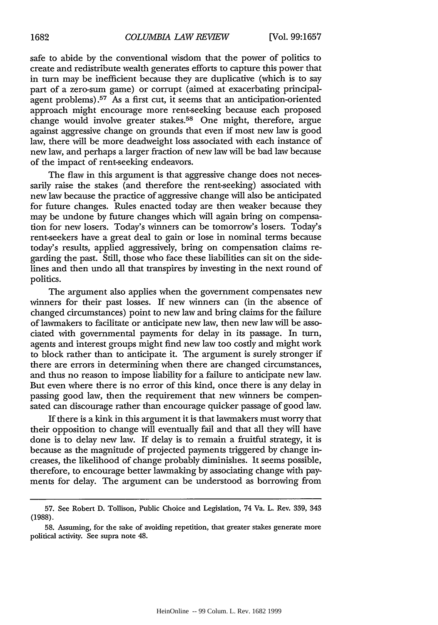safe to abide by the conventional wisdom that the power of politics to create and redistribute wealth generates efforts to capture this power that in turn may be inefficient because they are duplicative (which is to say part of a zero-sum game) or corrupt (aimed at exacerbating principalagent problems).<sup>57</sup> As a first cut, it seems that an anticipation-oriented approach might encourage more rent-seeking because each proposed change would involve greater stakes.58 One might, therefore, argue against aggressive change on grounds that even if most new law is good law, there will be more deadweight loss associated with each instance of new law, and perhaps a larger fraction of new law will be bad law because of the impact of rent-seeking endeavors.

The flaw in this argument is that aggressive change does not necessarily raise the stakes (and therefore the rent-seeking) associated with new law because the practice of aggressive change will also be anticipated for future changes. Rules enacted today are then weaker because they may be undone by future changes which will again bring on compensation for new losers. Today's winners can be tomorrow's losers. Today's rent-seekers have a great deal to gain or lose in nominal terms because today's results, applied aggressively, bring on compensation claims regarding the past. Still, those who face these liabilities can sit on the sidelines and then undo all that transpires by investing in the next round of politics.

The argument also applies when the government compensates new winners for their past losses. If new winners can (in the absence of changed circumstances) point to new law and bring claims for the failure of lawmakers to facilitate or anticipate new law, then new law will be associated with governmental payments for delay in its passage. In turn, agents and interest groups might find new law too costly and might work to block rather than to anticipate it. The argument is surely stronger if there are errors in determining when there are changed circumstances, and thus no reason to impose liability for a failure to anticipate new law. But even where there is no error of this kind, once there is any delay in passing good law, then the requirement that new winners be compensated can discourage rather than encourage quicker passage of good law.

If there is a kink in this argument it is that lawmakers must worry that their opposition to change will eventually fail and that all they will have done is to delay new law. If delay is to remain a fruitful strategy, it is because as the magnitude of projected payments triggered by change increases, the likelihood of change probably diminishes. It seems possible, therefore, to encourage better lawmaking by associating change with payments for delay. The argument can be understood as borrowing from

<sup>57.</sup> See Robert D. Tollison, Public Choice and Legislation, 74 Va. L. Rev. 339, 343 (1988).

**<sup>58.</sup>** Assuming, for the sake of avoiding repetition, that greater stakes generate more political activity. See supra note 48.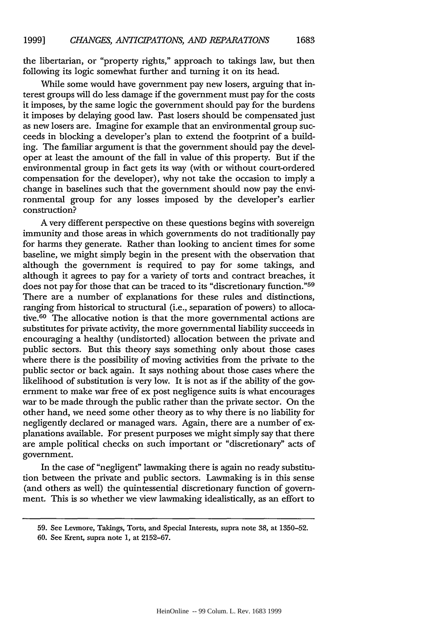the libertarian, or "property rights," approach to takings law, but then following its logic somewhat further and turning it on its head.

While some would have government pay new losers, arguing that interest groups will do less damage if the government must pay for the costs it imposes, by the same logic the government should pay for the burdens it imposes by delaying good law. Past losers should be compensated just as new losers are. Imagine for example that an environmental group succeeds in blocking a developer's plan to extend the footprint of a building. The familiar argument is that the government should pay the developer at least the amount of the fall in value of this property. But if the environmental group in fact gets its way (with or without court-ordered compensation for the developer), why not take the occasion to imply a change in baselines such that the government should now pay the environmental group for any losses imposed by the developer's earlier construction?

A very different perspective on these questions begins with sovereign immunity and those areas in which governments do not traditionally pay for harms they generate. Rather than looking to ancient times for some baseline, we might simply begin in the present with the observation that although the government is required to pay for some takings, and although it agrees to pay for a variety of torts and contract breaches, it does not pay for those that can be traced to its "discretionary function."<sup>59</sup> There are a number of explanations for these rules and distinctions, ranging from historical to structural (i.e., separation of powers) to allocative.<sup>60</sup> The allocative notion is that the more governmental actions are substitutes for private activity, the more governmental liability succeeds in encouraging a healthy (undistorted) allocation between the private and public sectors. But this theory says something only about those cases where there is the possibility of moving activities from the private to the public sector or back again. It says nothing about those cases where the likelihood of substitution is very low. It is not as if the ability of the government to make war free of ex post negligence suits is what encourages war to be made through the public rather than the private sector. On the other hand, we need some other theory as to why there is no liability for negligently declared or managed wars. Again, there are a number of explanations available. For present purposes we might simply say that there are ample political checks on such important or "discretionary" acts of government.

In the case of "negligent" lawmaking there is again no ready substitution between the private and public sectors. Lawmaking is in this sense (and others as well) the quintessential discretionary function of government. This is so whether we view lawmaking idealistically, as an effort to

<sup>59.</sup> See Levmore, Takings, Torts, and Special Interests, supra note **38,** at 1350-52.

<sup>60.</sup> See Krent, supra note 1, at 2152-67.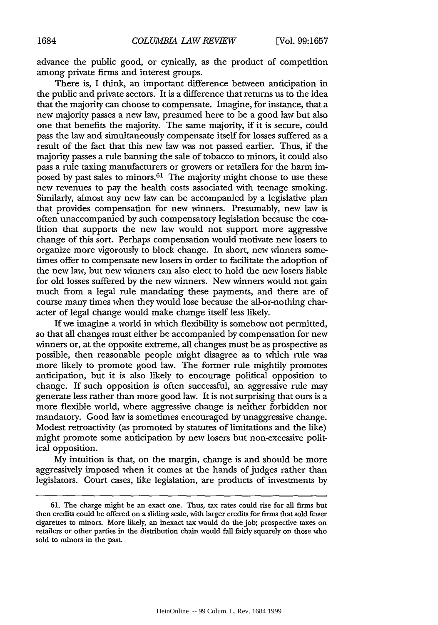advance the public good, or cynically, as the product of competition among private firms and interest groups.

There is, I think, an important difference between anticipation in the public and private sectors. It is a difference that returns us to the idea that the majority can choose to compensate. Imagine, for instance, that a new majority passes a new law, presumed here to be a good law but also one that benefits the majority. The same majority, if it is secure, could pass the law and simultaneously compensate itself for losses suffered as a result of the fact that this new law was not passed earlier. Thus, if the majority passes a rule banning the sale of tobacco to minors, it could also pass a rule taxing manufacturers or growers or retailers for the harm imposed by past sales to minors.<sup>61</sup> The majority might choose to use these new revenues to pay the health costs associated with teenage smoking. Similarly, almost any new law can be accompanied by a legislative plan that provides compensation for new winners. Presumably, new law is often unaccompanied by such compensatory legislation because the coalition that supports the new law would not support more aggressive change of this sort. Perhaps compensation would motivate new losers to organize more vigorously to block change. In short, new winners sometimes offer to compensate new losers in order to facilitate the adoption of the new law, but new winners can also elect to hold the new losers liable for old losses suffered by the new winners. New winners would not gain much from a legal rule mandating these payments, and there are of course many times when they would lose because the all-or-nothing character of legal change would make change itself less likely.

If we imagine a world in which flexibility is somehow not permitted, so that all changes must either be accompanied by compensation for new winners or, at the opposite extreme, all changes must be as prospective as possible, then reasonable people might disagree as to which rule was more likely to promote good law. The former rule mightily promotes anticipation, but it is also likely to encourage political opposition to change. If such opposition is often successful, an aggressive rule may generate less rather than more good law. It is not surprising that ours is a more flexible world, where aggressive change is neither forbidden nor mandatory. Good law is sometimes encouraged by unaggressive change. Modest retroactivity (as promoted by statutes of limitations and the like) might promote some anticipation by new losers but non-excessive political opposition.

My intuition is that, on the margin, change is and should be more aggressively imposed when it comes at the hands of judges rather than legislators. Court cases, like legislation, are products of investments by

<sup>61.</sup> The charge might be an exact one. Thus, tax rates could rise for all firms but then credits could be offered on a sliding scale, with larger credits for firms that sold fewer cigarettes to minors. More likely, an inexact tax would do the job; prospective taxes on retailers or other parties in the distribution chain would fall fairly squarely on those who sold to minors in the past.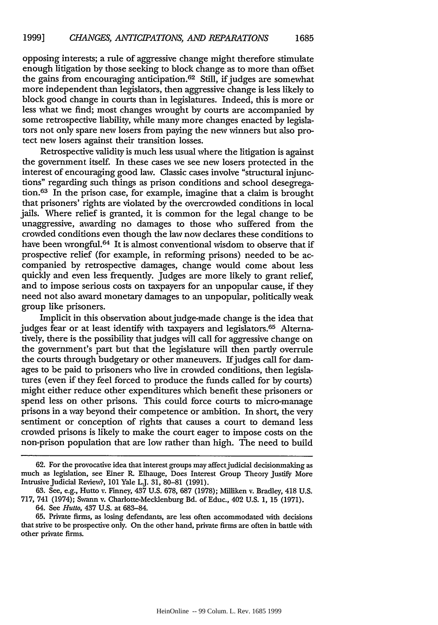opposing interests; a rule of aggressive change might therefore stimulate enough litigation by those seeking to block change as to more than offset the gains from encouraging anticipation. $62$  Still, if judges are somewhat more independent than legislators, then aggressive change is less likely to block good change in courts than in legislatures. Indeed, this is more or less what we find; most changes wrought by courts are accompanied by some retrospective liability, while many more changes enacted by legislators not only spare new losers from paying the new winners but also protect new losers against their transition losses.

Retrospective validity is much less usual where the litigation is against the government itself. In these cases we see new losers protected in the interest of encouraging good law. Classic cases involve "structural injunctions" regarding such things as prison conditions and school desegregation.63 In the prison case, for example, imagine that a claim is brought that prisoners' rights are violated by the overcrowded conditions in local jails. Where relief is granted, it is common for the legal change to be unaggressive, awarding no damages to those who suffered from the crowded conditions even though the law now declares these conditions to have been wrongful.<sup>64</sup> It is almost conventional wisdom to observe that if prospective relief (for example, in reforming prisons) needed to be accompanied by retrospective damages, change would come about less quickly and even less frequently. Judges are more likely to grant relief, and to impose serious costs on taxpayers for an unpopular cause, if they need not also award monetary damages to an unpopular, politically weak group like prisoners.

Implicit in this observation about judge-made change is the idea that judges fear or at least identify with taxpayers and legislators.<sup>65</sup> Alternatively, there is the possibility that judges will call for aggressive change on the government's part but that the legislature will then partly overrule the courts through budgetary or other maneuvers. If judges call for damages to be paid to prisoners who live in crowded conditions, then legislatures (even if they feel forced to produce the funds called for by courts) might either reduce other expenditures which benefit these prisoners or spend less on other prisons. This could force courts to micro-manage prisons in a way beyond their competence or ambition. In short, the very sentiment or conception of rights that causes a court to demand less crowded prisons is likely to make the court eager to impose costs on the non-prison population that are low rather than high. The need to build

**<sup>62.</sup>** For the provocative idea that interest groups may affectjudicial decisionmaking as much as legislation, see Einer R. Elhauge, Does Interest Group Theory Justify More Intrusive Judicial Review?, 101 Yale L.J. 31, 80-81 (1991).

**<sup>63.</sup>** See, e.g., Hutto v. Finney, 437 U.S. 678, **687** (1978); Milliken v. Bradley, 418 U.S. **717,** 741 (1974); Swann v. Charlotte-Mecklenburg Bd. of Educ., 402 U.S. 1, **15** (1971).

<sup>64.</sup> See *Hutto,* 437 U.S. at 683-84.

**<sup>65.</sup>** Private firms, as losing defendants, are less often accommodated with decisions that strive to be prospective only. On the other hand, private firms are often in battle with other private firms.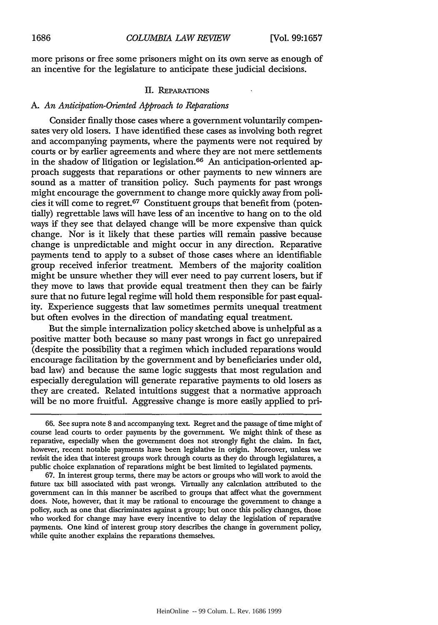more prisons or free some prisoners might on its own serve as enough of an incentive for the legislature to anticipate these judicial decisions.

#### II. **REPARATIONS**

#### A. *An Anticipation-Oriented Approach to Reparations*

Consider finally those cases where a government voluntarily compensates very old losers. I have identified these cases as involving both regret and accompanying payments, where the payments were not required by courts or by earlier agreements and where they are not mere settlements in the shadow of litigation or legislation. 66 An anticipation-oriented approach suggests that reparations or other payments to new winners are sound as a matter of transition policy. Such payments for past wrongs might encourage the government to change more quickly away from policies it will come to regret.67 Constituent groups that benefit from (potentially) regrettable laws will have less of an incentive to hang on to the old ways if they see that delayed change will be more expensive than quick change. Nor is it likely that these parties will remain passive because change is unpredictable and might occur in any direction. Reparative payments tend to apply to a subset of those cases where an identifiable group received inferior treatment. Members of the majority coalition might be unsure whether they will ever need to pay current losers, but if they move to laws that provide equal treatment then they can be fairly sure that no future legal regime will hold them responsible for past equality. Experience suggests that law sometimes permits unequal treatment but often evolves in the direction of mandating equal treatment.

But the simple internalization policy sketched above is unhelpful as a positive matter both because so many past wrongs in fact go unrepaired (despite the possibility that a regimen which included reparations would encourage facilitation by the government and by beneficiaries under old, bad law) and because the same logic suggests that most regulation and especially deregulation will generate reparative payments to old losers as they are created. Related intuitions suggest that a normative approach will be no more fruitful. Aggressive change is more easily applied to pri-

<sup>66.</sup> See supra note 8 and accompanying text. Regret and the passage of time might of course lead courts to order payments by the government. We might think of these as reparative, especially when the government does not strongly fight the claim. In fact, however, recent notable payments have been legislative in origin. Moreover, unless we revisit the idea that interest groups work through courts as they do through legislatures, a public choice explanation of reparations might be best limited to legislated payments.

<sup>67.</sup> In interest group terms, there may be actors or groups who will work to avoid the future tax bill associated with past wrongs. Virtually any calculation attributed to the government can in this manner be ascribed to groups that affect what the government does. Note, however, that it may be rational to encourage the government to change a policy, such as one that discriminates against a group; but once this policy changes, those who worked for change may have every incentive to delay the legislation of reparative payments. One kind of interest group story describes the change in government policy, while quite another explains the reparations themselves.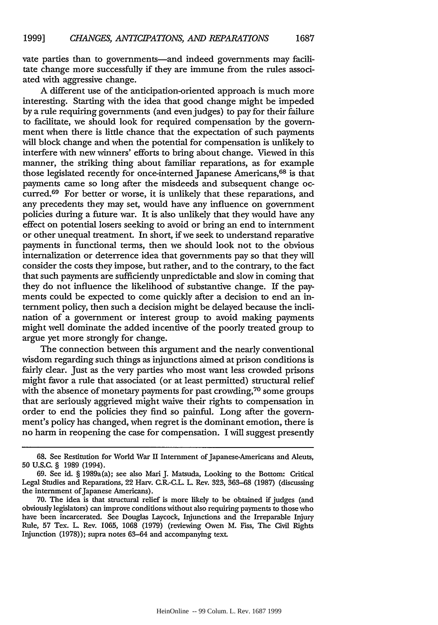vate parties than to govemments-and indeed governments may facilitate change more successfully if they are immune from the rules associated with aggressive change.

A different use of the anticipation-oriented approach is much more interesting. Starting with the idea that good change might be impeded by a rule requiring governments (and evenjudges) to pay for their failure to facilitate, we should look for required compensation by the government when there is little chance that the expectation of such payments will block change and when the potential for compensation is unlikely to interfere with new winners' efforts to bring about change. Viewed in this manner, the striking thing about familiar reparations, as for example those legislated recently for once-interned Japanese Americans,<sup>68</sup> is that payments came so long after the misdeeds and subsequent change occurred. 69 For better or worse, it is unlikely that these reparations, and any precedents they may set, would have any influence on government policies during a future war. It is also unlikely that they would have any effect on potential losers seeking to avoid or bring an end to internment or other unequal treatment. In short, if we seek to understand reparative payments in functional terms, then we should look not to the obvious internalization or deterrence idea that governments pay so that they will consider the costs they impose, but rather, and to the contrary, to the fact that such payments are sufficiently unpredictable and slow in coming that they do not influence the likelihood of substantive change. If the payments could be expected to come quickly after a decision to end an internment policy, then such a decision might be delayed because the inclination of a government or interest group to avoid making payments might well dominate the added incentive of the poorly treated group to argue yet more strongly for change.

The connection between this argument and the nearly conventional wisdom regarding such things as injunctions aimed at prison conditions is fairly clear. Just as the very parties who most want less crowded prisons might favor a rule that associated (or at least permitted) structural relief with the absence of monetary payments for past crowding,<sup>70</sup> some groups that are seriously aggrieved might waive their rights to compensation in order to end the policies they find so painful. Long after the government's policy has changed, when regret is the dominant emotion, there is no harm in reopening the case for compensation. I will suggest presently

<sup>68.</sup> See Restitution for World War H Internment of Japanese-Americans and Aleuts, 50 U.S.C. § 1989 (1994).

<sup>69.</sup> See id. § 1989a(a); see also Marl J. Matsuda, Looking to the Bottom: Critical Legal Studies and Reparations, 22 Harv. C.R.-C.L. L. Rev. 323, 363-68 (1987) (discussing the internment of Japanese Americans).

<sup>70.</sup> The idea is that structural relief is more likely to be obtained if judges (and obviously legislators) can improve conditions without also requiring payments to those who have been incarcerated. See Douglas Laycock, Injunctions and the Irreparable Injury Rule, 57 Tex. L. Rev. 1065, 1068 (1979) (reviewing Owen M. Fiss, The Civil Rights Injunction (1978)); supra notes 63-64 and accompanying text.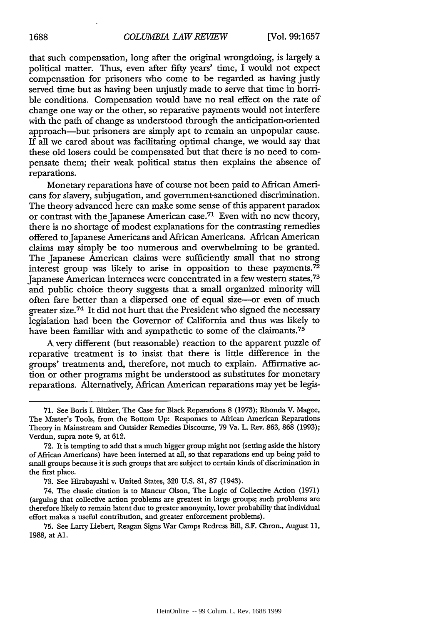that such compensation, long after the original wrongdoing, is largely a political matter. Thus, even after fifty years' time, I would not expect compensation for prisoners who come to be regarded as having justly served time but as having been unjustly made to serve that time in horrible conditions. Compensation would have no real effect on the rate of change one way or the other, so reparative payments would not interfere with the path of change as understood through the anticipation-oriented approach-but prisoners are simply apt to remain an unpopular cause. If all we cared about was facilitating optimal change, we would say that these old losers could be compensated but that there is no need to compensate them; their weak political status then explains the absence of reparations.

Monetary reparations have of course not been paid to African Americans for slavery, subjugation, and government-sanctioned discrimination. The theory advanced here can make some sense of this apparent paradox or contrast with the Japanese American case. 71 Even with no new theory, there is no shortage of modest explanations for the contrasting remedies offered to Japanese Americans and African Americans. African American claims may simply be too numerous and overwhelming to be granted. The Japanese American claims were sufficiently small that no strong interest group was likely to arise in opposition to these payments.<sup>72</sup> Japanese American internees were concentrated in a few western states,<sup>73</sup> and public choice theory suggests that a small organized minority will often fare better than a dispersed one of equal size-or even of much greater size.74 It did not hurt that the President who signed the necessary legislation had been the Governor of California and thus was likely to have been familiar with and sympathetic to some of the claimants.<sup>75</sup>

A very different (but reasonable) reaction to the apparent puzzle of reparative treatment is to insist that there is little difference in the groups' treatments and, therefore, not much to explain. Affirmative action or other programs might be understood as substitutes for monetary reparations. Alternatively, African American reparations may yet be legis-

75. See Larry Liebert, Reagan Signs War Camps Redress Bill, S.F. Chron., August 11, 1988, at **Al.**

<sup>71.</sup> See Boris I. Bittker, The Case for Black Reparations 8 (1973); Rhonda V. Magee, The Master's Tools, from the Bottom Up: Responses to African American Reparations Theory in Mainstream and Outsider Remedies Discourse, 79 Va. L. Rev. 863, 868 (1993); Verdun, supra note 9, at 612.

<sup>72.</sup> It is tempting to add that a much bigger group might not (setting aside the history of African Americans) have been interned at all, so that reparations end up being paid to small groups because it is such groups that are subject to certain kinds of discrimination in the first place.

<sup>73.</sup> See Hirabayashi v. United States, 320 U.S. 81, 87 (1943).

<sup>74.</sup> The classic citation is to Mancur Olson, The Logic of Collective Action (1971) (arguing that collective action problems are greatest in large groups; such problems are therefore likely to remain latent due to greater anonymity, lower probability that individual effort makes a useful contribution, and greater enforcement problems).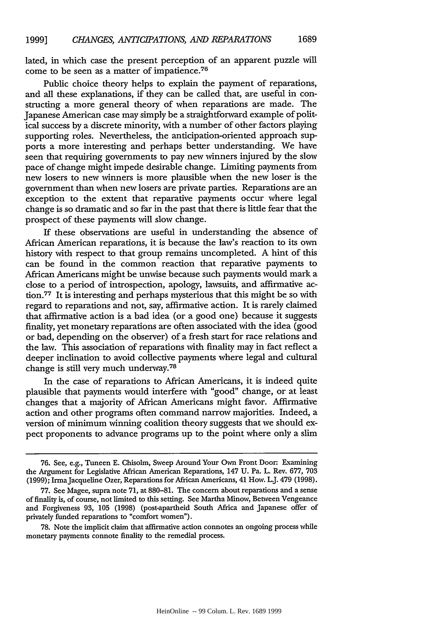lated, in which case the present perception of an apparent puzzle will come to be seen as a matter of impatience. <sup>76</sup>

Public choice theory helps to explain the payment of reparations, and all these explanations, if they can be called that, are useful in constructing a more general theory of when reparations are made. The Japanese American case may simply be a straightforward example of political success by a discrete minority, with a number of other factors playing supporting roles. Nevertheless, the anticipation-oriented approach supports a more interesting and perhaps better understanding. We have seen that requiring governments to pay new winners injured by the slow pace of change might impede desirable change. Limiting payments from new losers to new winners is more plausible when the new loser is the government than when new losers are private parties. Reparations are an exception to the extent that reparative payments occur where legal change is so dramatic and so far in the past that there is little fear that the prospect of these payments will slow change.

If these observations are useful in understanding the absence of African American reparations, it is because the law's reaction to its own history with respect to that group remains uncompleted. A hint of this can be found in the common reaction that reparative payments to African Americans might be unwise because such payments would mark a close to a period of introspection, apology, lawsuits, and affirmative action.<sup>77</sup> It is interesting and perhaps mysterious that this might be so with regard to reparations and not, say, affirmative action. It is rarely claimed that affirmative action is a bad idea (or a good one) because it suggests finality, yet monetary reparations are often associated with the idea (good or bad, depending on the observer) of a fresh start for race relations and the law. This association of reparations with finality may in fact reflect a deeper inclination to avoid collective payments where legal and cultural change is still very much underway.<sup>78</sup>

In the case of reparations to African Americans, it is indeed quite plausible that payments would interfere with "good" change, or at least changes that a majority of African Americans might favor. Affirmative action and other programs often command narrow majorities. Indeed, a version of minimum winning coalition theory suggests that we should expect proponents to advance programs up to the point where only a slim

<sup>76.</sup> See, e.g., Tuneen **E.** Chisoln, Sweep Around Your Own Front Door. Examining the Argument for Legislative African American Reparations, 147 U. Pa. L. Rev. 677, 703 (1999); Irma Jacqueline Ozer, Reparations for African Americans, 41 How. L.J. 479 (1998).

<sup>77.</sup> See Magee, supra note 71, at 880-81. The concern about reparations and a sense of finality is, of course, not limited to this setting. See Martha Minow, Between Vengeance and Forgiveness **93,** 105 (1998) (post-apartheid South Africa and Japanese offer of privately funded reparations to "comfort women").

<sup>78.</sup> Note the implicit claim that affirmative action connotes an ongoing process while monetary payments connote finality to the remedial process.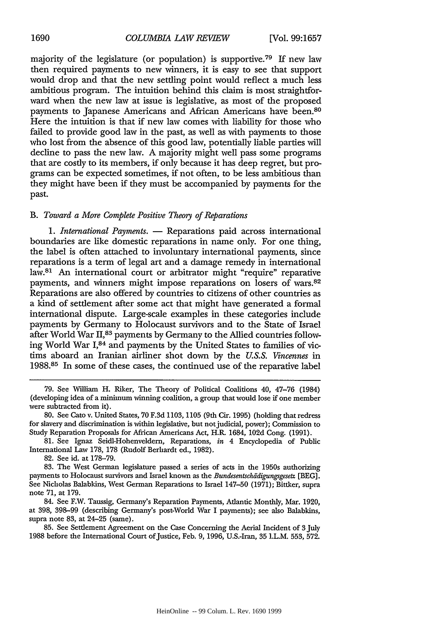majority of the legislature (or population) is supportive. 79 If new law then required payments to new winners, it is easy to see that support would drop and that the new settling point would reflect a much less ambitious program. The intuition behind this claim is most straightforward when the new law at issue is legislative, as most of the proposed payments to Japanese Americans and African Americans have been.80 Here the intuition is that if new law comes with liability for those who failed to provide good law in the past, as well as with payments to those who lost from the absence of this good law, potentially liable parties will decline to pass the new law. A majority might well pass some programs that are costly to its members, if only because it has deep regret, but programs can be expected sometimes, if not often, to be less ambitious than they might have been if they must be accompanied by payments for the past.

#### *B. Toward a More Complete Positive Theory of Reparations*

1. International Payments. - Reparations paid across international boundaries are like domestic reparations in name only. For one thing, the label is often attached to involuntary international payments, since reparations is a term of legal art and a damage remedy in international law.8' An international court or arbitrator might "require" reparative payments, and winners might impose reparations on losers of wars.<sup>82</sup> Reparations are also offered by countries to citizens of other countries as a kind of settlement after some act that might have generated a formal international dispute. Large-scale examples in these categories include payments by Germany to Holocaust survivors and to the State of Israel after World War 11,83 payments by Germany to the Allied countries following World War 1,84 and payments by the United States to families of victims aboard an Iranian airliner shot down by the *U.S.S. Vincennes* in 1988.85 In some of these cases, the continued use of the reparative label

82. See id. at 178-79.

83. The West German legislature passed a series of acts in the 1950s authorizing payments to Holocaust survivors and Israel known as the *Bundesentschddigungsgesetz* [BEG). See Nicholas Balabkins, West German Reparations to Israel 147-50 (1971); Bittker, supra note 71, at 179.

84. See F.W. Taussig, Germany's Reparation Payments, Atlantic Monthly, Mar. 1920, at 398, 398-99 (describing Germany's post-World War I payments); see also Balabkins, supra note 83, at 24-25 (same).

85. See Settlement Agreement on the Case Concerning the Aerial Incident of 3 July 1988 before the International Court ofJustice, Feb. 9, 1996, U.S.-Iran, 35 I.L.M. 553, 572.

<sup>79.</sup> See William H. Riker, The Theory of Political Coalitions 40, 47-76 (1984) (developing idea of a minimum winning coalition, a group that would lose if one member were subtracted from it).

<sup>80.</sup> See Cato v. United States, 70 F.3d 1103, 1105 (9th Cir. 1995) (holding that redress for slavery and discrimination is within legislative, but notjudicial, power); Commission to Study Reparation Proposals for African Americans Act, H.R. 1684, 102d Cong. (1991).

<sup>81.</sup> See Ignaz Seidl-Hohenveldern, Reparations, *in* 4 Encyclopedia of Public International Law 178, 178 (Rudolf Berhardt ed., 1982).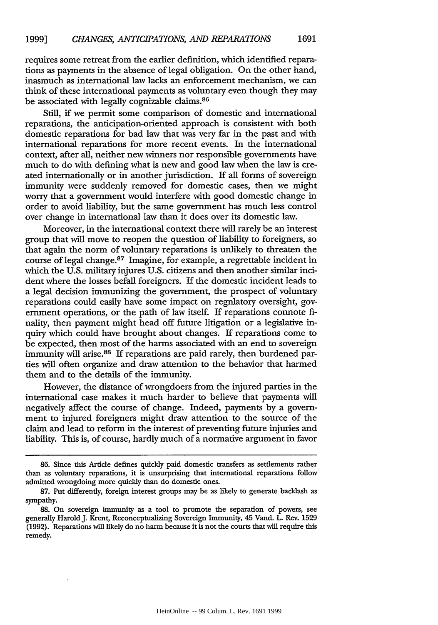requires some retreat from the earlier definition, which identified reparations as payments in the absence of legal obligation. On the other hand, inasmuch as international law lacks an enforcement mechanism, we can think of these international payments as voluntary even though they may be associated with legally cognizable claims.<sup>86</sup>

Still, if we permit some comparison of domestic and international reparations, the anticipation-oriented approach is consistent with both domestic reparations for bad law that was very far in the past and with international reparations for more recent events. In the international context, after all, neither new winners nor responsible governments have much to do with defining what is new and good law when the law is created internationally or in another jurisdiction. If all forms of sovereign immunity were suddenly removed for domestic cases, then we might worry that a government would interfere with good domestic change in order to avoid liability, but the same government has much less control over change in international law than it does over its domestic law.

Moreover, in the international context there will rarely be an interest group that will move to reopen the question of liability to foreigners, so that again the norm of voluntary reparations is unlikely to threaten the course of legal change. 87 Imagine, for example, a regrettable incident in which the U.S. military injures U.S. citizens and then another similar incident where the losses befall foreigners. If the domestic incident leads to a legal decision immunizing the government, the prospect of voluntary reparations could easily have some impact on regulatory oversight, government operations, or the path of law itself. If reparations connote finality, then payment might head off future litigation or a legislative inquiry which could have brought about changes. If reparations come to be expected, then most of the harms associated with an end to sovereign immunity will arise.<sup>88</sup> If reparations are paid rarely, then burdened parties will often organize and draw attention to the behavior that harmed them and to the details of the immunity.

However, the distance of wrongdoers from the injured parties in the international case makes it much harder to believe that payments will negatively affect the course of change. Indeed, payments by a government to injured foreigners might draw attention to the source of the claim and lead to reform in the interest of preventing future injuries and liability. This is, of course, hardly much of a normative argument in favor

**<sup>86.</sup>** Since this Article defines quickly paid domestic transfers as settlements rather than as voluntary reparations, it is unsurprising that international reparations follow admitted wrongdoing more quickly than do domestic ones.

<sup>87.</sup> Put differently, foreign interest groups may be as likely to generate backlash as sympathy.

<sup>88.</sup> On sovereign immunity as a tool to promote the separation of powers, see generally HaroldJ. Krent, Reconceptualizing Sovereign Immunity, 45 Vand. L. Rev. 1529 (1992). Reparations will likely do no harm because it is not the courts that will require this remedy.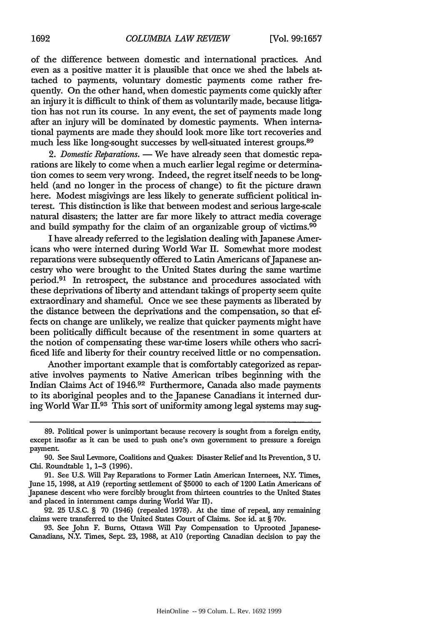of the difference between domestic and international practices. And even as a positive matter it is plausible that once we shed the labels attached to payments, voluntary domestic payments come rather frequently. On the other hand, when domestic payments come quickly after an injury it is difficult to think of them as voluntarily made, because litigation has not run its course. In any event, the set of payments made long after an injury will be dominated by domestic payments. When international payments are made they should look more like tort recoveries and much less like long-sought successes by well-situated interest groups.<sup>89</sup>

*2. Domestic Reparations.* **-** We have already seen that domestic reparations are likely to come when a much earlier legal regime or determination comes to seem very wrong. Indeed, the regret itself needs to be longheld (and no longer in the process of change) to fit the picture drawn here. Modest misgivings are less likely to generate sufficient political interest. This distinction is like that between modest and serious large-scale natural disasters; the latter are far more likely to attract media coverage and build sympathy for the claim of an organizable group of victims.90

I have already referred to the legislation dealing with Japanese Americans who were interned during World War II. Somewhat more modest reparations were subsequently offered to Latin Americans of Japanese ancestry who were brought to the United States during the same wartime period.<sup>91</sup> In retrospect, the substance and procedures associated with these deprivations of liberty and attendant takings of property seem quite extraordinary and shameful. Once we see these payments as liberated by the distance between the deprivations and the compensation, so that effects on change are unlikely, we realize that quicker payments might have been politically difficult because of the resentment in some quarters at the notion of compensating these war-time losers while others who sacrificed life and liberty for their country received little or no compensation.

Another important example that is comfortably categorized as reparative involves payments to Native American tribes beginning with the Indian Claims Act of 1946.92 Furthermore, Canada also made payments to its aboriginal peoples and to the Japanese Canadians it interned during World War II.<sup>93</sup> This sort of uniformity among legal systems may sug-

<sup>89.</sup> Political power is unimportant because recovery is sought from a foreign entity, except insofar as it can be used to push one's own government to pressure a foreign payment.

<sup>90.</sup> See Saul Levmore, Coalitions and Quakes: Disaster Relief and Its Prevention, 3 U. Chi. Roundtable 1, 1-3 (1996).

<sup>91.</sup> See U.S. Will Pay Reparations to Former Latin American Internees, N.Y. Times, June 15, 1998, at A19 (reporting settlement of \$5000 to each of 1200 Latin Americans of Japanese descent who were forcibly brought from thirteen countries to the United States and placed in internment camps during World War II).

<sup>92.</sup> **25** U.S.C. § 70 (1946) (repealed 1978). At the time of repeal, any remaining claims were transferred to the United States Court of Claims. See id. at § 70v.

<sup>93.</sup> See John F. Bums, Ottawa Will Pay Compensation to Uprooted Japanese-Canadians, N.Y. Times, Sept. 23, 1988, at **A10** (reporting Canadian decision to pay the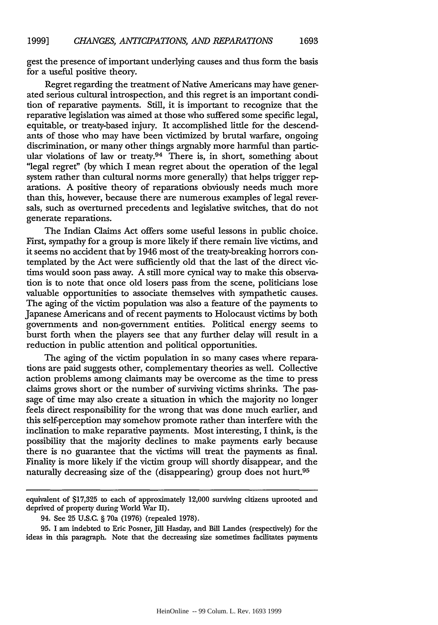gest the presence of important underlying causes and thus form the basis for a useful positive theory.

Regret regarding the treatment of Native Americans may have generated serious cultural introspection, and this regret is an important condition of reparative payments. Still, it is important to recognize that the reparative legislation was aimed at those who suffered some specific legal, equitable, or treaty-based injury. It accomplished little for the descendants of those who may have been victimized by brutal warfare, ongoing discrimination, or many other things arguably more harmful than particular violations of law or treaty. $94$  There is, in short, something about "legal regret" (by which I mean regret about the operation of the legal system rather than cultural norms more generally) that helps trigger reparations. A positive theory of reparations obviously needs much more than this, however, because there are numerous examples of legal reversals, such as overturned precedents and legislative switches, that do not generate reparations.

The Indian Claims Act offers some useful lessons in public choice. First, sympathy for a group is more likely if there remain live victims, and it seems no accident that by 1946 most of the treaty-breaking horrors contemplated by the Act were sufficiently old that the last of the direct victims would soon pass away. A still more cynical way to make this observation is to note that once old losers pass from the scene, politicians lose valuable opportunities to associate themselves with sympathetic causes. The aging of the victim population was also a feature of the payments to Japanese Americans and of recent payments to Holocaust victims by both governments and non-government entities. Political energy seems to burst forth when the players see that any further delay will result in a reduction in public attention and political opportunities.

The aging of the victim population in so many cases where reparations are paid suggests other, complementary theories as well. Collective action problems among claimants may be overcome as the time to press claims grows short or the number of surviving victims shrinks. The passage of time may also create a situation in which the majority no longer feels direct responsibility for the wrong that was done much earlier, and this self-perception may somehow promote rather than interfere with the inclination to make reparative payments. Most interesting, I think, is the possibility that the majority declines to make payments early because there is no guarantee that the victims will treat the payments as final. Finality is more likely if the victim group will shortly disappear, and the naturally decreasing size of the (disappearing) group does not hurt.<sup>95</sup>

equivalent of \$17,325 to each of approximately 12,000 surviving citizens uprooted and deprived of property during World War II).

<sup>94.</sup> See 25 U.S.C. § 70a (1976) (repealed 1978).

<sup>95.</sup> I am indebted to Eric Posner, Jill Hasday, and Bill Landes (respectively) for the ideas in this paragraph. Note that the decreasing size sometimes facilitates payments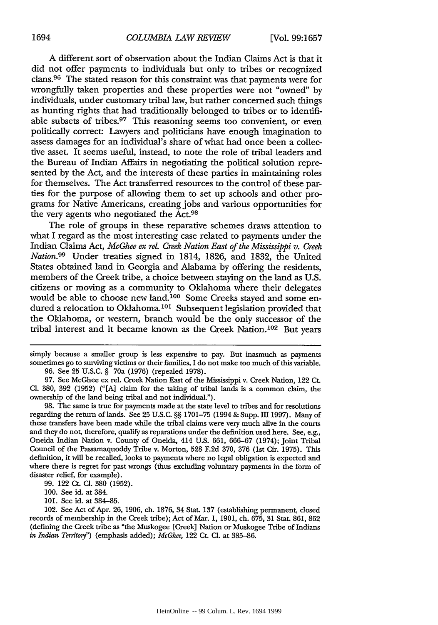A different sort of observation about the Indian Claims Act is that it did not offer payments to individuals but only to tribes or recognized clans.<sup>96</sup> The stated reason for this constraint was that payments were for wrongfully taken properties and these properties were not "owned" by individuals, under customary tribal law, but rather concerned such things as hunting rights that had traditionally belonged to tribes or to identifiable subsets of tribes.<sup>97</sup> This reasoning seems too convenient, or even politically correct: Lawyers and politicians have enough imagination to assess damages for an individual's share of what had once been a collective asset. It seems useful, instead, to note the role of tribal leaders and the Bureau of Indian Affairs in negotiating the political solution represented by the Act, and the interests of these parties in maintaining roles for themselves. The Act transferred resources to the control of these parties for the purpose of allowing them to set up schools and other programs for Native Americans, creating jobs and various opportunities for the very agents who negotiated the Act.98

The role of groups in these reparative schemes draws attention to what I regard as the most interesting case related to payments under the Indian Claims Act, *McGhee ex rel. Creek Nation East of the Mississippi v. Creek Nation.99* Under treaties signed in 1814, 1826, and 1832, the United States obtained land in Georgia and Alabama by offering the residents, members of the Creek tribe, a choice between staying on the land as U.S. citizens or moving as a community to Oklahoma where their delegates would be able to choose new land.<sup>100</sup> Some Creeks stayed and some endured a relocation to Oklahoma.<sup>101</sup> Subsequent legislation provided that the Oklahoma, or western, branch would be the only successor of the tribal interest and it became known as the Creek Nation.<sup>102</sup> But years

simply because a smaller group is less expensive to pay. But inasmuch as payments sometimes go to surviving victims or their families, I do not make too much of this variable. 96. See 25 U.S.C. § 70a (1976) (repealed 1978).

97. See McGhee ex rel. Creek Nation East of the Mississippi v. Creek Nation, 122 Ct. **Cl.** 380, 392 (1952) ("[A] claim for the taking of tribal lands is a common claim, the ownership of the land being tribal and not individual.").

98. The same is true for payments made at the state level to tribes and for resolutions regarding the return of lands. See 25 U.S.C. §§ 1701-75 (1994 & Supp. III 1997). Many of these transfers have been made while the tribal claims were very much alive in the courts and they do not, therefore, qualify as reparations under the definition used here. See, e.g., Oneida Indian Nation v. County of Oneida, 414 U.S. 661, 666-67 (1974); Joint Tribal Council of the Passamaquoddy Tribe v. Morton, 528 F.2d 370, 376 (1st Cir. 1975). This definition, it will be recalled, looks to payments where no legal obligation is expected and where there is regret for past wrongs (thus excluding voluntary payments in the form of disaster relief, for example).

99. 122 Ct. **Cl.** 380 (1952).

100. See id. at 384.

101. See id. at 384-85.

102. See Act of Apr. 26, 1906, ch. 1876, 34 Stat. 137 (establishing permanent, closed records of membership in the Creek tribe); Act of Mar. 1, 1901, ch. 675, 31 Star. 861, 862 (defining the Creek tribe as "the Muskogee [Creek] Nation or Muskogee Tribe of Indians *in Indian Territory")* (emphasis added); *McGhee,* 122 Ct. **Cl.** at 385-86.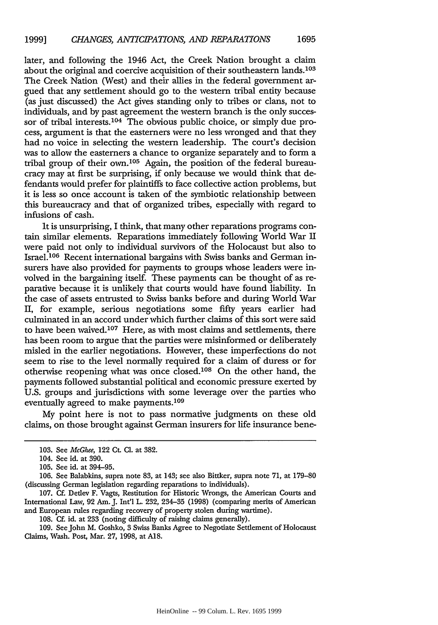later, and following the 1946 Act, the Creek Nation brought a claim about the original and coercive acquisition of their southeastern lands.<sup>103</sup> The Greek Nation (West) and their allies in the federal government argued that any settlement should go to the western tribal entity because (as just discussed) the Act gives standing only to tribes or clans, not to individuals, and by past agreement the western branch is the only successor of tribal interests.<sup>104</sup> The obvious public choice, or simply due process, argument is that the easterners were no less wronged and that they had no voice in selecting the western leadership. The court's decision was to allow the easterners a chance to organize separately and to form a tribal group of their own.<sup>105</sup> Again, the position of the federal bureaucracy may at first be surprising, if only because we would think that defendants would prefer for plaintiffs to face collective action problems, but it is less so once account is taken of the symbiotic relationship between this bureaucracy and that of organized tribes, especially with regard to infusions of cash.

It is unsurprising, I think, that many other reparations programs contain similar elements. Reparations immediately following World War II were paid not only to individual survivors of the Holocaust but also to Israel.<sup>106</sup> Recent international bargains with Swiss banks and German insurers have also provided for payments to groups whose leaders were involved in the bargaining itself. These payments can be thought of as reparative because it is unlikely that courts would have found liability. In the case of assets entrusted to Swiss banks before and during World War II, for example, serious negotiations some fifty years earlier had culminated in an accord under which further claims of this sort were said to have been waived.<sup>107</sup> Here, as with most claims and settlements, there has been room to argue that the parties were misinformed or deliberately misled in the earlier negotiations. However, these imperfections do not seem to rise to the level normally required for a claim of duress or for otherwise reopening what was once closed.<sup>108</sup> On the other hand, the payments followed substantial political and economic pressure exerted by U.S. groups and jurisdictions with some leverage over the parties who eventually agreed to make payments.<sup>109</sup>

My point here is not to pass normative judgments on these old claims, on those brought against German insurers for life insurance bene-

109. See John M. Goshko, 3 Swiss Banks Agree to Negotiate Settlement of Holocaust Claims, Wash. Post, Mar. 27, 1998, at **A18.**

<sup>103.</sup> See *McGhee,* 122 Ct. **Cl.** at 382.

<sup>104.</sup> See id. at 390.

<sup>105.</sup> See id. at 394-95.

<sup>106.</sup> See Balabkins, supra note 83, at 143; see also Bittker, supra note 71, at 179-80 (discussing German legislation regarding reparations to individuals).

<sup>107.</sup> **Cf.** Detlev F. Vagts, Restitution for Historic Wrongs, the American Courts and International Law, 92 Am. J. Int'l L. 232, 234-35 (1998) (comparing merits of American and European rules regarding recovery of property stolen during wartime).

<sup>108.</sup> **Cf.** id. at 233 (noting difficulty of raising claims generally).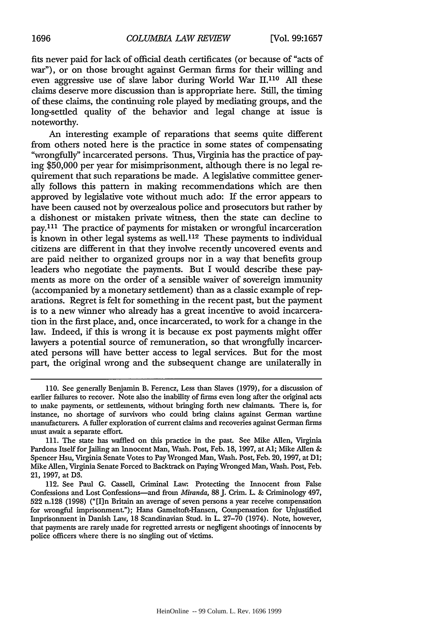fits never paid for lack of official death certificates (or because of "acts of war"), or on those brought against German firms for their willing and even aggressive use of slave labor during World War **II.110** All these claims deserve more discussion than is appropriate here. Still, the timing of these claims, the continuing role played by mediating groups, and the long-settled quality of the behavior and legal change at issue is noteworthy.

An interesting example of reparations that seems quite different from others noted here is the practice in some states of compensating "wrongfully" incarcerated persons. Thus, Virginia has the practice of paying \$50,000 per year for misimprisonment, although there is no legal requirement that such reparations be made. A legislative committee generally follows this pattern in making recommendations which are then approved by legislative vote without much ado: If the error appears to have been caused not by overzealous police and prosecutors but rather by a dishonest or mistaken private witness, then the state can decline to pay.<sup>111</sup> The practice of payments for mistaken or wrongful incarceration is known in other legal systems as well.<sup>112</sup> These payments to individual citizens are different in that they involve recently uncovered events and are paid neither to organized groups nor in a way that benefits group leaders who negotiate the payments. But I would describe these payments as more on the order of a sensible waiver of sovereign immunity (accompanied by a monetary settlement) than as a classic example of reparations. Regret is felt for something in the recent past, but the payment is to a new winner who already has a great incentive to avoid incarceration in the first place, and, once incarcerated, to work for a change in the law. Indeed, if this is wrong it is because ex post payments might offer lawyers a potential source of remuneration, so that wrongfully incarcerated persons will have better access to legal services. But for the most part, the original wrong and the subsequent change are unilaterally in

<sup>110.</sup> See generally Benjamin B. Ferencz, Less than Slaves (1979), for a discussion of earlier failures to recover. Note also the inability of firms even long after the original acts to make payments, or settlements, without bringing forth new claimants. There is, for instance, no shortage of survivors who could bring claims against German wartime manufacturers. A fuller exploration of current claims and recoveries against German firms must await a separate effort.

<sup>111.</sup> The state has waffled on this practice in the past. See Mike Allen, Virginia Pardons Itself for Jailing an Innocent Man, Wash. Post, Feb. 18, 1997, at A1; Mike Allen & Spencer Hsu, Virginia Senate Votes to Pay Wronged Man, Wash. Post, Feb. 20, 1997, at D1; Mike Allen, Virginia Senate Forced to Backtrack on Paying Wronged Man, Wash. Post, Feb. 21, 1997, at D3.

<sup>112.</sup> See Paul G. Cassell, Criminal Law: Protecting the Innocent from False Confessions and Lost Confessions-and from *Miranda,* 88J. Grim. L. & Criminology 497, 522 n.128 (1998) ("[I]n Britain an average of seven persons a year receive compensation for wrongful imprisonment."); Hans Gameltoft-Hansen, Compensation for Unjustified Imprisonment in Danish Law, 18 Scandinavian Stud. in L. 27-70 (1974). Note, however, that payments are rarely made for regretted arrests or negligent shootings of innocents by police officers where there is no singling out of victims.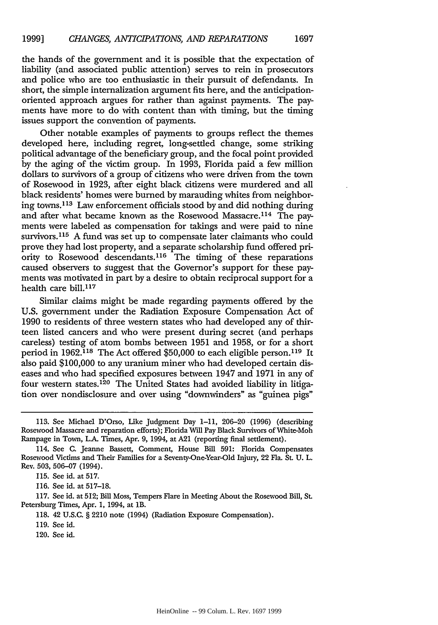the hands of the government and it is possible that the expectation of liability (and associated public attention) serves to rein in prosecutors and police who are too enthusiastic in their pursuit of defendants. In short, the simple internalization argument fits here, and the anticipationoriented approach argues for rather than against payments. The payments have more to do with content than with timing, but the timing issues support the convention of payments.

Other notable examples of payments to groups reflect the themes developed here, including regret, long-settled change, some striking political advantage of the beneficiary group, and the focal point provided by the aging of the victim group. In 1993, Florida paid a few million dollars to survivors of a group of citizens who were driven from the town of Rosewood in 1923, after eight black citizens were murdered and all black residents' homes were burned by marauding whites from neighboring towns. $113$  Law enforcement officials stood by and did nothing during and after what became known as the Rosewood Massacre.<sup>114</sup> The payments were labeled as compensation for takings and were paid to nine survivors.<sup>115</sup> A fund was set up to compensate later claimants who could prove they had lost property, and a separate scholarship fund offered priority to Rosewood descendants.<sup>116</sup> The timing of these reparations caused observers to suggest that the Governor's support for these payments was motivated in part by a desire to obtain reciprocal support for a health care bill.<sup>117</sup>

Similar claims might be made regarding payments offered by the **U.S.** government under the Radiation Exposure Compensation Act of 1990 to residents of three western states who had developed any of thirteen listed cancers and who were present during secret (and perhaps careless) testing of atom bombs between 1951 and 1958, or for a short period in 1962.<sup>118</sup> The Act offered \$50,000 to each eligible person.<sup>119</sup> It also paid \$100,000 to any uranium miner who had developed certain diseases and who had specified exposures between 1947 and 1971 in any of four western states.<sup>120</sup> The United States had avoided liability in litigation over nondisclosure and over using "downwinders" as "guinea pigs"

117. See id. at 512; Bill Moss, Tempers Flare in Meeting About the Rosewood Bill, St. Petersburg Times, Apr. 1, 1994, at lB.

<sup>113.</sup> See Michael D'Orso, Like Judgment Day 1-11, 206-20 (1996) (describing Rosewood Massacre and reparation efforts); Florida Will Pay Black Survivors of White-Mob Rampage in Town, L.A. Times, Apr. 9, 1994, at **A21** (reporting final settlement).

<sup>114.</sup> See **C.** Jeanne Bassett, Comment, House Bill 591: Florida Compensates Rosewood Victims and Their Families for a Seventy-One-Year-Old Injury, 22 Fla. St. **U.** L. Rev. 503, 506-07 (1994).

<sup>115.</sup> See id. at 517.

<sup>116.</sup> See id. at 517-18.

<sup>118. 42</sup> U.S.C. § 2210 note (1994) (Radiation Exposure Compensation).

<sup>119.</sup> See id.

<sup>120.</sup> See id.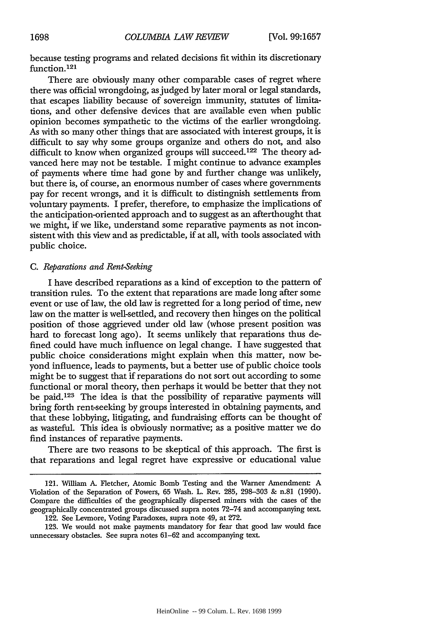because testing programs and related decisions fit within its discretionary function.<sup>121</sup>

There are obviously many other comparable cases of regret where there was official wrongdoing, as judged by later moral or legal standards, that escapes liability because of sovereign immunity, statutes of limitations, and other defensive devices that are available even when public opinion becomes sympathetic to the victims of the earlier wrongdoing. As with so many other things that are associated with interest groups, it is difficult to say why some groups organize and others do not, and also difficult to know when organized groups will succeed.<sup>122</sup> The theory advanced here may not be testable. I might continue to advance examples of payments where time had gone by and further change was unlikely, but there is, of course, an enormous number of cases where governments pay for recent wrongs, and it is difficult to distinguish settlements from voluntary payments. I prefer, therefore, to emphasize the implications of the anticipation-oriented approach and to suggest as an afterthought that we might, if we like, understand some reparative payments as not inconsistent with this view and as predictable, if at all, with tools associated with public choice.

#### *C. Reparations and Rent-Seeking*

I have described reparations as a kind of exception to the pattern of transition rules. To the extent that reparations are made long after some event or use of law, the old law is regretted for a long period of time, new law on the matter is well-settled, and recovery then hinges on the political position of those aggrieved under old law (whose present position was hard to forecast long ago). It seems unlikely that reparations thus defined could have much influence on legal change. I have suggested that public choice considerations might explain when this matter, now beyond influence, leads to payments, but a better use of public choice tools might be to suggest that if reparations do not sort out according to some functional or moral theory, then perhaps it would be better that they not be paid.<sup>123</sup> The idea is that the possibility of reparative payments will bring forth rent-seeking by groups interested in obtaining payments, and that these lobbying, litigating, and fundraising efforts can be thought of as wasteful. This idea is obviously normative; as a positive matter we do find instances of reparative payments.

There are two reasons to be skeptical of this approach. The first is that reparations and legal regret have expressive or educational value

<sup>121.</sup> William A. Fletcher, Atomic Bomb Testing and the Warner Amendment: A Violation of the Separation of Powers, 65 Wash. L. Rev. 285, 298-303 & n.81 (1990). Compare the difficulties of the geographically dispersed miners with the cases of the geographically concentrated groups discussed supra notes **72-74** and accompanying text.

<sup>122.</sup> See Levmore, Voting Paradoxes, supra note 49, at 272.

<sup>123.</sup> We would not make payments mandatory for fear that good law would face unnecessary obstacles. See supra notes 61-62 and accompanying text.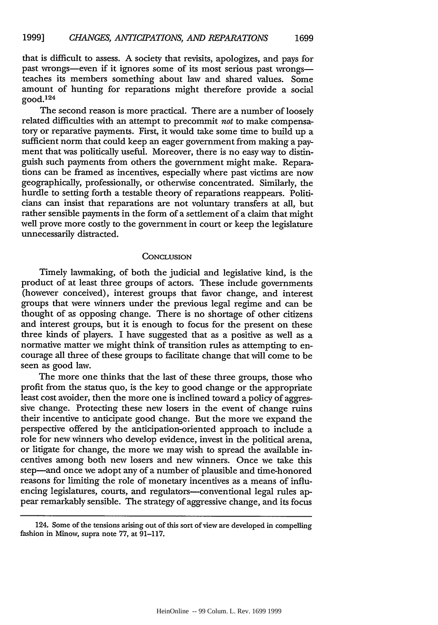that is difficult to assess. **A** society that revisits, apologizes, and pays for past wrongs-even if it ignores some of its most serious past wrongsteaches its members something about law and shared values. Some amount of hunting for reparations might therefore provide a social good.<sup>124</sup>

The second reason is more practical. There are a number of loosely related difficulties with an attempt to precommit *not* to make compensatory or reparative payments. First, it would take some time to build up a sufficient norm that could keep an eager government from making a payment that was politically useful. Moreover, there is no easy way to distinguish such payments from others the government might make. Reparations can be framed as incentives, especially where past victims are now geographically, professionally, or otherwise concentrated. Similarly, the hurdle to setting forth a testable theory of reparations reappears. Politicians can insist that reparations are not voluntary transfers at all, but rather sensible payments in the form of a settlement of a claim that might well prove more costly to the government in court or keep the legislature unnecessarily distracted.

#### **CONCLUSION**

Timely lawmaking, of both the judicial and legislative kind, is the product of at least three groups of actors. These include governments (however conceived), interest groups that favor change, and interest groups that were winners under the previous legal regime and can be thought of as opposing change. There is no shortage of other citizens and interest groups, but it is enough to focus for the present on these three kinds of players. I have suggested that as a positive as well as a normative matter we might think of transition rules as attempting to encourage all three of these groups to facilitate change that will come to be seen as good law.

The more one thinks that the last of these three groups, those who profit from the status quo, is the key to good change or the appropriate least cost avoider, then the more one is inclined toward a policy of aggressive change. Protecting these new losers in the event of change ruins their incentive to anticipate good change. But the more we expand the perspective offered by the anticipation-oriented approach to include a role for new winners who develop evidence, invest in the political arena, or litigate for change, the more we may wish to spread the available incentives among both new losers and new winners. Once we take this step-and once we adopt any of a number of plausible and time-honored reasons for limiting the role of monetary incentives as a means of influencing legislatures, courts, and regulators-conventional legal rules appear remarkably sensible. The strategy of aggressive change, and its focus

<sup>124.</sup> Some of the tensions arising out of this sort of view are developed in compelling fashion in Minow, supra note 77, at 91-117.